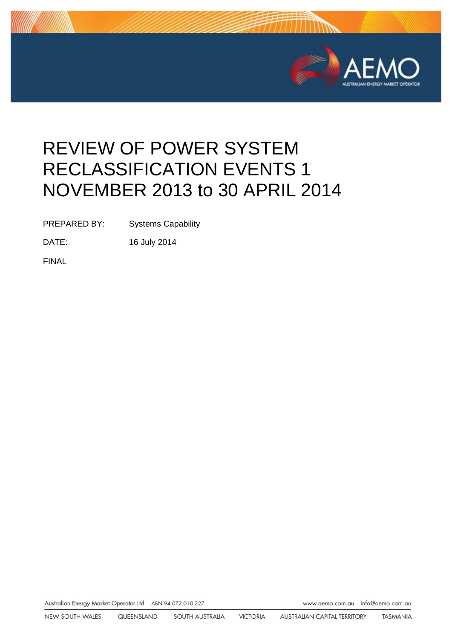

# REVIEW OF POWER SYSTEM RECLASSIFICATION EVENTS 1 NOVEMBER 2013 to 30 APRIL 2014

PREPARED BY: Systems Capability

DATE: 16 July 2014

FINAL

Australian Energy Market Operator Ltd ABN 94 072 010 327

www.aemo.com.au info@aemo.com.au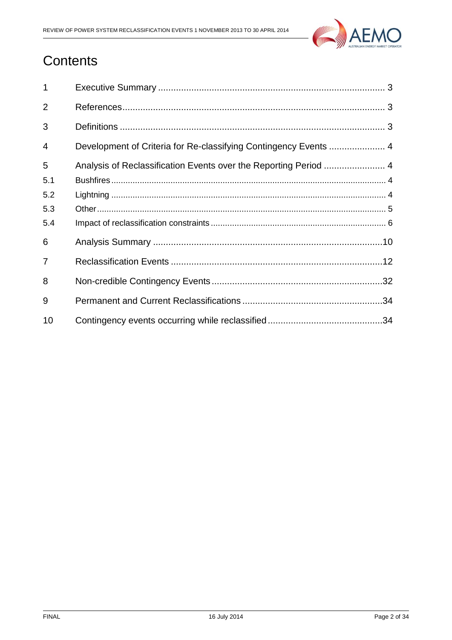

## **Contents**

| 1              |  |
|----------------|--|
| $\overline{2}$ |  |
| 3              |  |
| $\overline{4}$ |  |
| 5              |  |
| 5.1            |  |
| 5.2            |  |
| 5.3            |  |
| 5.4            |  |
| 6              |  |
| 7              |  |
| 8              |  |
| 9              |  |
| 10             |  |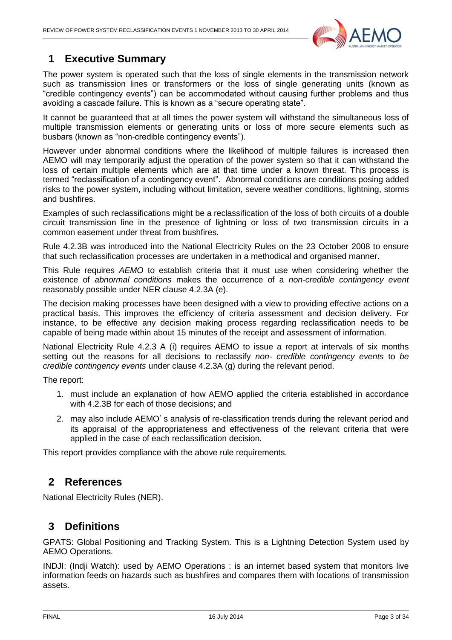

### <span id="page-2-0"></span>**1 Executive Summary**

The power system is operated such that the loss of single elements in the transmission network such as transmission lines or transformers or the loss of single generating units (known as "credible contingency events") can be accommodated without causing further problems and thus avoiding a cascade failure. This is known as a "secure operating state".

It cannot be guaranteed that at all times the power system will withstand the simultaneous loss of multiple transmission elements or generating units or loss of more secure elements such as busbars (known as "non-credible contingency events").

However under abnormal conditions where the likelihood of multiple failures is increased then AEMO will may temporarily adjust the operation of the power system so that it can withstand the loss of certain multiple elements which are at that time under a known threat. This process is termed "reclassification of a contingency event". Abnormal conditions are conditions posing added risks to the power system, including without limitation, severe weather conditions, lightning, storms and bushfires.

Examples of such reclassifications might be a reclassification of the loss of both circuits of a double circuit transmission line in the presence of lightning or loss of two transmission circuits in a common easement under threat from bushfires.

Rule 4.2.3B was introduced into the National Electricity Rules on the 23 October 2008 to ensure that such reclassification processes are undertaken in a methodical and organised manner.

This Rule requires *AEMO* to establish criteria that it must use when considering whether the existence of *abnormal conditions* makes the occurrence of a *non-credible contingency event*  reasonably possible under NER clause 4.2.3A (e).

The decision making processes have been designed with a view to providing effective actions on a practical basis. This improves the efficiency of criteria assessment and decision delivery. For instance, to be effective any decision making process regarding reclassification needs to be capable of being made within about 15 minutes of the receipt and assessment of information.

National Electricity Rule 4.2.3 A (i) requires AEMO to issue a report at intervals of six months setting out the reasons for all decisions to reclassify *non- credible contingency events* to *be credible contingency events* under clause 4.2.3A (g) during the relevant period.

The report:

- 1. must include an explanation of how AEMO applied the criteria established in accordance with 4.2.3B for each of those decisions; and
- 2. may also include AEMO's analysis of re-classification trends during the relevant period and its appraisal of the appropriateness and effectiveness of the relevant criteria that were applied in the case of each reclassification decision.

<span id="page-2-1"></span>This report provides compliance with the above rule requirements.

#### **2 References**

<span id="page-2-2"></span>National Electricity Rules (NER).

#### **3 Definitions**

GPATS: Global Positioning and Tracking System. This is a Lightning Detection System used by AEMO Operations.

INDJI: (Indji Watch): used by AEMO Operations : is an internet based system that monitors live information feeds on hazards such as bushfires and compares them with locations of transmission assets.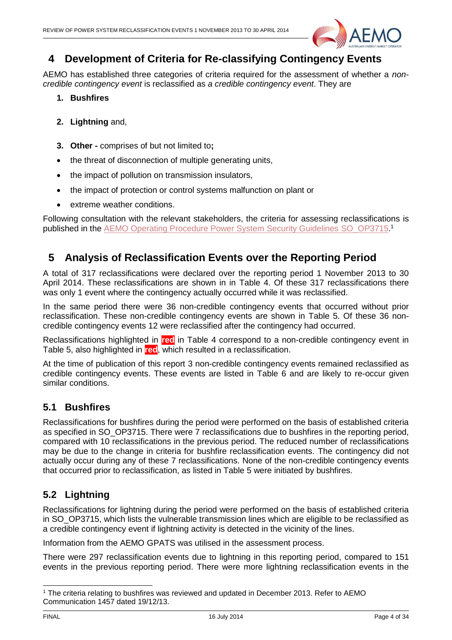

#### <span id="page-3-0"></span>**4 Development of Criteria for Re-classifying Contingency Events**

AEMO has established three categories of criteria required for the assessment of whether a *noncredible contingency event* is reclassified as *a credible contingency event*. They are

- **1. Bushfires**
- **2. Lightning** and,
- **3. Other -** comprises of but not limited to**;**
- the threat of disconnection of multiple generating units,
- the impact of pollution on transmission insulators,
- the impact of protection or control systems malfunction on plant or
- extreme weather conditions.

Following consultation with the relevant stakeholders, the criteria for assessing reclassifications is published in the **AEMO Operating Procedure Power System Security Guidelines SO\_OP3715.1** 

#### <span id="page-3-1"></span>**5 Analysis of Reclassification Events over the Reporting Period**

A total of 317 reclassifications were declared over the reporting period 1 November 2013 to 30 April 2014. These reclassifications are shown in in [Table 4.](#page-11-1) Of these 317 reclassifications there was only 1 event where the contingency actually occurred while it was reclassified.

In the same period there were 36 non-credible contingency events that occurred without prior reclassification. These non-credible contingency events are shown in [Table 5.](#page-31-1) Of these 36 noncredible contingency events 12 were reclassified after the contingency had occurred.

Reclassifications highlighted in **red** in [Table 4](#page-11-1) correspond to a non-credible contingency event in [Table 5,](#page-31-1) also highlighted in **red**, which resulted in a reclassification.

At the time of publication of this report 3 non-credible contingency events remained reclassified as credible contingency events. These events are listed in [Table 6](#page-33-2) and are likely to re-occur given similar conditions.

#### <span id="page-3-2"></span>**5.1 Bushfires**

Reclassifications for bushfires during the period were performed on the basis of established criteria as specified in SO OP3715. There were 7 reclassifications due to bushfires in the reporting period, compared with 10 reclassifications in the previous period. The reduced number of reclassifications may be due to the change in criteria for bushfire reclassification events. The contingency did not actually occur during any of these 7 reclassifications. None of the non-credible contingency events that occurred prior to reclassification, as listed in [Table 5](#page-31-1) were initiated by bushfires.

#### <span id="page-3-3"></span>**5.2 Lightning**

Reclassifications for lightning during the period were performed on the basis of established criteria in SO\_OP3715, which lists the vulnerable transmission lines which are eligible to be reclassified as a credible contingency event if lightning activity is detected in the vicinity of the lines.

Information from the AEMO GPATS was utilised in the assessment process.

There were 297 reclassification events due to lightning in this reporting period, compared to 151 events in the previous reporting period. There were more lightning reclassification events in the

<sup>1</sup> <sup>1</sup> The criteria relating to bushfires was reviewed and updated in December 2013. Refer to AEMO Communication 1457 dated 19/12/13.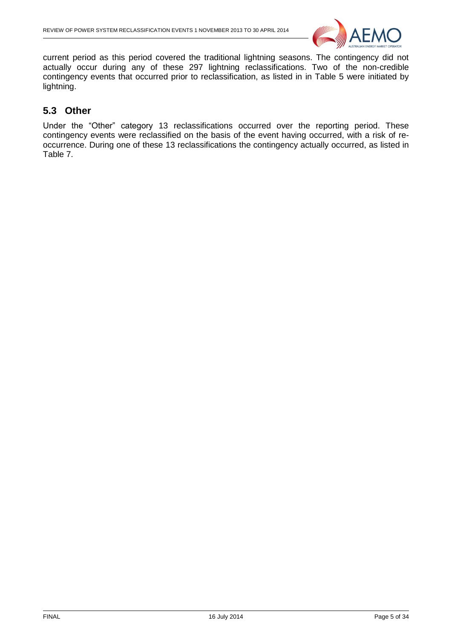

current period as this period covered the traditional lightning seasons. The contingency did not actually occur during any of these 297 lightning reclassifications. Two of the non-credible contingency events that occurred prior to reclassification, as listed in in [Table 5](#page-31-1) were initiated by lightning.

#### <span id="page-4-0"></span>**5.3 Other**

Under the "Other" category 13 reclassifications occurred over the reporting period. These contingency events were reclassified on the basis of the event having occurred, with a risk of reoccurrence. During one of these 13 reclassifications the contingency actually occurred, as listed in [Table 7.](#page-33-3)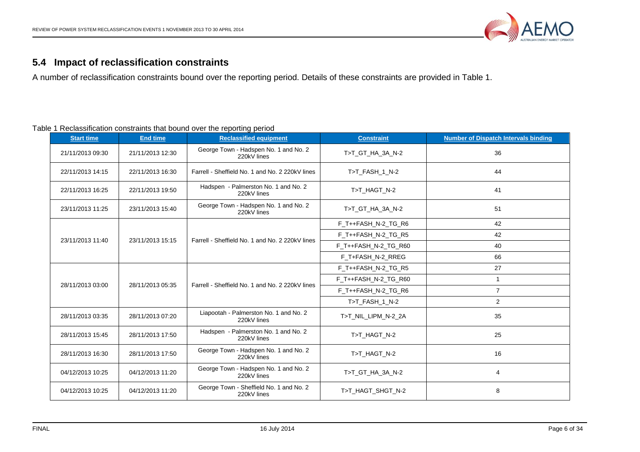

### **5.4 Impact of reclassification constraints**

A number of reclassification constraints bound over the reporting period. Details of these constraints are provided in Table 1.

#### Table 1 Reclassification constraints that bound over the reporting period

<span id="page-5-0"></span>

| <b>Start time</b> | <b>End time</b>  | <b>Reclassified equipment</b>                          | <b>Constraint</b>    | <b>Number of Dispatch Intervals binding</b> |
|-------------------|------------------|--------------------------------------------------------|----------------------|---------------------------------------------|
| 21/11/2013 09:30  | 21/11/2013 12:30 | George Town - Hadspen No. 1 and No. 2<br>220kV lines   | T>T_GT_HA_3A_N-2     | 36                                          |
| 22/11/2013 14:15  | 22/11/2013 16:30 | Farrell - Sheffield No. 1 and No. 2 220kV lines        | T>T FASH 1 N-2       | 44                                          |
| 22/11/2013 16:25  | 22/11/2013 19:50 | Hadspen - Palmerston No. 1 and No. 2<br>220kV lines    | T>T_HAGT_N-2         | 41                                          |
| 23/11/2013 11:25  | 23/11/2013 15:40 | George Town - Hadspen No. 1 and No. 2<br>220kV lines   | T>T GT HA 3A N-2     | 51                                          |
|                   |                  |                                                        | F_T++FASH_N-2_TG_R6  | 42                                          |
| 23/11/2013 11:40  | 23/11/2013 15:15 |                                                        | F T++FASH N-2 TG R5  | 42                                          |
|                   |                  | Farrell - Sheffield No. 1 and No. 2 220kV lines        | F T++FASH N-2 TG R60 | 40                                          |
|                   |                  |                                                        | F_T+FASH_N-2_RREG    | 66                                          |
|                   |                  |                                                        | F_T++FASH_N-2_TG_R5  | 27                                          |
| 28/11/2013 03:00  | 28/11/2013 05:35 | Farrell - Sheffield No. 1 and No. 2 220kV lines        | F T++FASH N-2 TG R60 | $\mathbf{1}$                                |
|                   |                  |                                                        | F_T++FASH_N-2_TG_R6  | $\overline{7}$                              |
|                   |                  |                                                        | T>T FASH 1 N-2       | 2                                           |
| 28/11/2013 03:35  | 28/11/2013 07:20 | Liapootah - Palmerston No. 1 and No. 2<br>220kV lines  | T>T_NIL_LIPM_N-2_2A  | 35                                          |
| 28/11/2013 15:45  | 28/11/2013 17:50 | Hadspen - Palmerston No. 1 and No. 2<br>220kV lines    | T>T_HAGT_N-2         | 25                                          |
| 28/11/2013 16:30  | 28/11/2013 17:50 | George Town - Hadspen No. 1 and No. 2<br>220kV lines   | T>T HAGT N-2         | 16                                          |
| 04/12/2013 10:25  | 04/12/2013 11:20 | George Town - Hadspen No. 1 and No. 2<br>220kV lines   | T>T GT HA 3A N-2     | 4                                           |
| 04/12/2013 10:25  | 04/12/2013 11:20 | George Town - Sheffield No. 1 and No. 2<br>220kV lines | T>T_HAGT_SHGT_N-2    | 8                                           |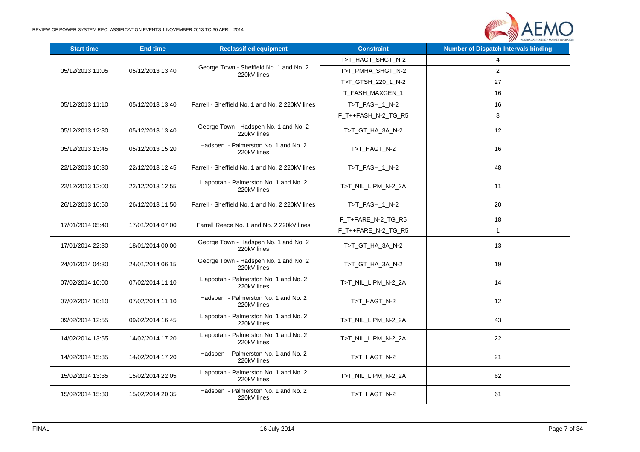

| <b>Start time</b> | <b>End time</b>  | <b>Reclassified equipment</b>                          | <b>Constraint</b>   | <b>Number of Dispatch Intervals binding</b> |
|-------------------|------------------|--------------------------------------------------------|---------------------|---------------------------------------------|
|                   |                  |                                                        | T>T_HAGT_SHGT_N-2   | 4                                           |
| 05/12/2013 11:05  | 05/12/2013 13:40 | George Town - Sheffield No. 1 and No. 2<br>220kV lines | T>T PMHA SHGT N-2   | $\overline{2}$                              |
|                   |                  |                                                        | T>T_GTSH_220_1_N-2  | 27                                          |
|                   |                  |                                                        | T_FASH_MAXGEN_1     | 16                                          |
| 05/12/2013 11:10  | 05/12/2013 13:40 | Farrell - Sheffield No. 1 and No. 2 220kV lines        | T>T_FASH_1_N-2      | 16                                          |
|                   |                  |                                                        | F T++FASH N-2 TG R5 | 8                                           |
| 05/12/2013 12:30  | 05/12/2013 13:40 | George Town - Hadspen No. 1 and No. 2<br>220kV lines   | T>T_GT_HA_3A_N-2    | 12                                          |
| 05/12/2013 13:45  | 05/12/2013 15:20 | Hadspen - Palmerston No. 1 and No. 2<br>220kV lines    | T>T_HAGT_N-2        | 16                                          |
| 22/12/2013 10:30  | 22/12/2013 12:45 | Farrell - Sheffield No. 1 and No. 2 220kV lines        | T>T_FASH_1_N-2      | 48                                          |
| 22/12/2013 12:00  | 22/12/2013 12:55 | Liapootah - Palmerston No. 1 and No. 2<br>220kV lines  | T>T_NIL_LIPM_N-2_2A | 11                                          |
| 26/12/2013 10:50  | 26/12/2013 11:50 | Farrell - Sheffield No. 1 and No. 2 220kV lines        | T>T_FASH_1_N-2      | 20                                          |
| 17/01/2014 05:40  | 17/01/2014 07:00 | Farrell Reece No. 1 and No. 2 220kV lines              | F_T+FARE_N-2_TG_R5  | 18                                          |
|                   |                  |                                                        | F_T++FARE_N-2_TG_R5 | $\mathbf{1}$                                |
| 17/01/2014 22:30  | 18/01/2014 00:00 | George Town - Hadspen No. 1 and No. 2<br>220kV lines   | T>T_GT_HA_3A_N-2    | 13                                          |
| 24/01/2014 04:30  | 24/01/2014 06:15 | George Town - Hadspen No. 1 and No. 2<br>220kV lines   | T>T_GT_HA_3A_N-2    | 19                                          |
| 07/02/2014 10:00  | 07/02/2014 11:10 | Liapootah - Palmerston No. 1 and No. 2<br>220kV lines  | T>T_NIL_LIPM_N-2_2A | 14                                          |
| 07/02/2014 10:10  | 07/02/2014 11:10 | Hadspen - Palmerston No. 1 and No. 2<br>220kV lines    | T>T_HAGT_N-2        | 12                                          |
| 09/02/2014 12:55  | 09/02/2014 16:45 | Liapootah - Palmerston No. 1 and No. 2<br>220kV lines  | T>T_NIL_LIPM_N-2_2A | 43                                          |
| 14/02/2014 13:55  | 14/02/2014 17:20 | Liapootah - Palmerston No. 1 and No. 2<br>220kV lines  | T>T_NIL_LIPM_N-2_2A | 22                                          |
| 14/02/2014 15:35  | 14/02/2014 17:20 | Hadspen - Palmerston No. 1 and No. 2<br>220kV lines    | T>T_HAGT_N-2        | 21                                          |
| 15/02/2014 13:35  | 15/02/2014 22:05 | Liapootah - Palmerston No. 1 and No. 2<br>220kV lines  | T>T_NIL_LIPM_N-2_2A | 62                                          |
| 15/02/2014 15:30  | 15/02/2014 20:35 | Hadspen - Palmerston No. 1 and No. 2<br>220kV lines    | T>T_HAGT_N-2        | 61                                          |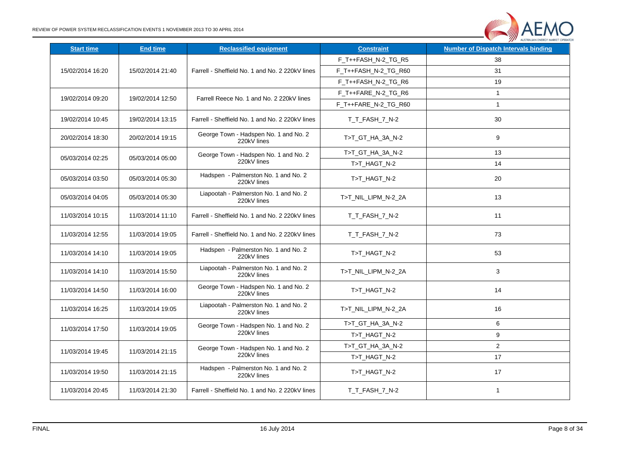

| <b>Start time</b> | <b>End time</b>  | <b>Reclassified equipment</b>                         | <b>Constraint</b>    | <b>Number of Dispatch Intervals binding</b> |
|-------------------|------------------|-------------------------------------------------------|----------------------|---------------------------------------------|
|                   |                  |                                                       | F T++FASH N-2 TG R5  | 38                                          |
| 15/02/2014 16:20  | 15/02/2014 21:40 | Farrell - Sheffield No. 1 and No. 2 220kV lines       | F_T++FASH_N-2_TG_R60 | 31                                          |
|                   |                  |                                                       | F_T++FASH_N-2_TG_R6  | 19                                          |
| 19/02/2014 09:20  | 19/02/2014 12:50 | Farrell Reece No. 1 and No. 2 220kV lines             | F_T++FARE_N-2_TG_R6  | $\mathbf{1}$                                |
|                   |                  |                                                       | F T++FARE N-2 TG R60 | $\mathbf{1}$                                |
| 19/02/2014 10:45  | 19/02/2014 13:15 | Farrell - Sheffield No. 1 and No. 2 220kV lines       | T_T_FASH_7_N-2       | 30                                          |
| 20/02/2014 18:30  | 20/02/2014 19:15 | George Town - Hadspen No. 1 and No. 2<br>220kV lines  | T>T_GT_HA_3A_N-2     | 9                                           |
|                   |                  | George Town - Hadspen No. 1 and No. 2                 | T>T GT HA 3A N-2     | 13                                          |
| 05/03/2014 02:25  | 05/03/2014 05:00 | 220kV lines                                           | T>T_HAGT_N-2         | 14                                          |
| 05/03/2014 03:50  | 05/03/2014 05:30 | Hadspen - Palmerston No. 1 and No. 2<br>220kV lines   | T>T_HAGT_N-2         | 20                                          |
| 05/03/2014 04:05  | 05/03/2014 05:30 | Liapootah - Palmerston No. 1 and No. 2<br>220kV lines | T>T_NIL_LIPM_N-2_2A  | 13                                          |
| 11/03/2014 10:15  | 11/03/2014 11:10 | Farrell - Sheffield No. 1 and No. 2 220kV lines       | T_T_FASH_7_N-2       | 11                                          |
| 11/03/2014 12:55  | 11/03/2014 19:05 | Farrell - Sheffield No. 1 and No. 2 220kV lines       | T T FASH 7 N-2       | 73                                          |
| 11/03/2014 14:10  | 11/03/2014 19:05 | Hadspen - Palmerston No. 1 and No. 2<br>220kV lines   | T>T_HAGT_N-2         | 53                                          |
| 11/03/2014 14:10  | 11/03/2014 15:50 | Liapootah - Palmerston No. 1 and No. 2<br>220kV lines | T>T_NIL_LIPM_N-2_2A  | 3                                           |
| 11/03/2014 14:50  | 11/03/2014 16:00 | George Town - Hadspen No. 1 and No. 2<br>220kV lines  | T>T_HAGT_N-2         | 14                                          |
| 11/03/2014 16:25  | 11/03/2014 19:05 | Liapootah - Palmerston No. 1 and No. 2<br>220kV lines | T>T_NIL_LIPM_N-2_2A  | 16                                          |
|                   |                  | George Town - Hadspen No. 1 and No. 2                 | T>T_GT_HA_3A_N-2     | 6                                           |
| 11/03/2014 17:50  | 11/03/2014 19:05 | 220kV lines                                           | T>T_HAGT_N-2         | 9                                           |
|                   | 11/03/2014 21:15 | George Town - Hadspen No. 1 and No. 2                 | T>T_GT_HA_3A_N-2     | $\overline{2}$                              |
| 11/03/2014 19:45  |                  | 220kV lines                                           | T>T_HAGT_N-2         | 17                                          |
| 11/03/2014 19:50  | 11/03/2014 21:15 | Hadspen - Palmerston No. 1 and No. 2<br>220kV lines   | T>T_HAGT_N-2         | 17                                          |
| 11/03/2014 20:45  | 11/03/2014 21:30 | Farrell - Sheffield No. 1 and No. 2 220kV lines       | T T FASH 7 N-2       | 1                                           |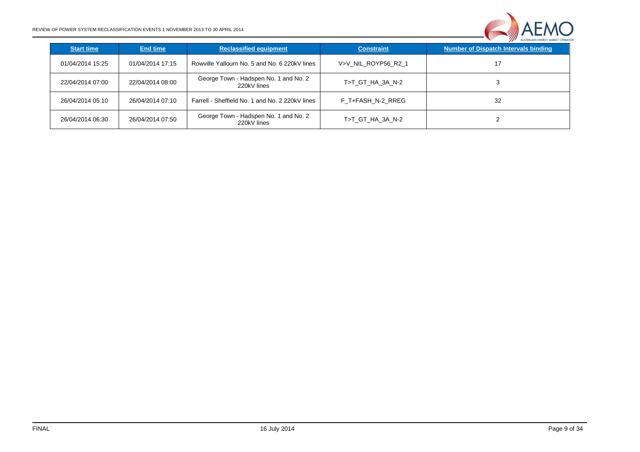

| <b>Start time</b> | <b>End time</b>  | <b>Reclassified equipment</b>                        | <b>Constraint</b>   | <b>Number of Dispatch Intervals binding</b> |
|-------------------|------------------|------------------------------------------------------|---------------------|---------------------------------------------|
| 01/04/2014 15:25  | 01/04/2014 17:15 | Rowville Yallourn No. 5 and No. 6 220kV lines        | V>V NIL ROYP56 R2 1 | 17                                          |
| 22/04/2014 07:00  | 22/04/2014 08:00 | George Town - Hadspen No. 1 and No. 2<br>220kV lines | T>T GT HA 3A N-2    |                                             |
| 26/04/2014 05:10  | 26/04/2014 07:10 | Farrell - Sheffield No. 1 and No. 2 220kV lines      | F T+FASH N-2 RREG   | 32                                          |
| 26/04/2014 06:30  | 26/04/2014 07:50 | George Town - Hadspen No. 1 and No. 2<br>220kV lines | T>T_GT_HA_3A_N-2    |                                             |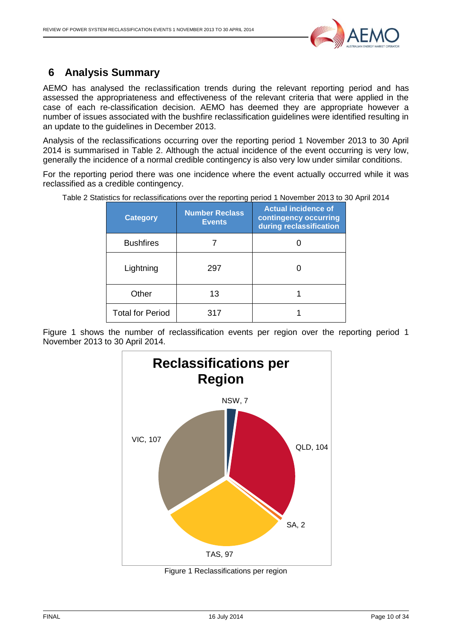

### <span id="page-9-0"></span>**6 Analysis Summary**

AEMO has analysed the reclassification trends during the relevant reporting period and has assessed the appropriateness and effectiveness of the relevant criteria that were applied in the case of each re-classification decision. AEMO has deemed they are appropriate however a number of issues associated with the bushfire reclassification guidelines were identified resulting in an update to the guidelines in December 2013.

Analysis of the reclassifications occurring over the reporting period 1 November 2013 to 30 April 2014 is summarised in [Table 2.](#page-9-1) Although the actual incidence of the event occurring is very low, generally the incidence of a normal credible contingency is also very low under similar conditions.

For the reporting period there was one incidence where the event actually occurred while it was reclassified as a credible contingency.

<span id="page-9-1"></span>Table 2 Statistics for reclassifications over the reporting period 1 November 2013 to 30 April 2014

| <b>Category</b>         | <b>Number Reclass</b><br><b>Events</b> | <b>Actual incidence of</b><br>contingency occurring<br>during reclassification |
|-------------------------|----------------------------------------|--------------------------------------------------------------------------------|
| <b>Bushfires</b>        |                                        |                                                                                |
| Lightning               | 297                                    |                                                                                |
| Other                   | 13                                     |                                                                                |
| <b>Total for Period</b> | 317                                    |                                                                                |

Figure 1 shows the number of reclassification events per region over the reporting period 1 November 2013 to 30 April 2014.



Figure 1 Reclassifications per region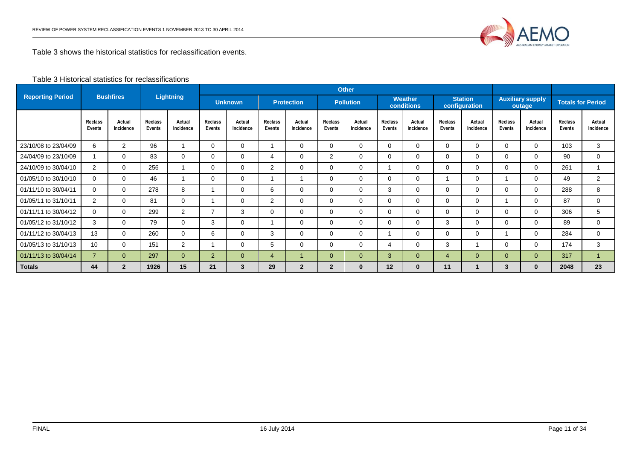

Table 3 shows the historical statistics for reclassification events.

#### Table 3 Historical statistics for reclassifications

|                         |                          |                     |                          |                     | <b>Other</b>                    |                                     |                   |                     |                                                         |                     |                          |                                 |                          |                                   |                                 |                          |                          |                     |
|-------------------------|--------------------------|---------------------|--------------------------|---------------------|---------------------------------|-------------------------------------|-------------------|---------------------|---------------------------------------------------------|---------------------|--------------------------|---------------------------------|--------------------------|-----------------------------------|---------------------------------|--------------------------|--------------------------|---------------------|
| <b>Reporting Period</b> |                          | <b>Bushfires</b>    |                          | <b>Lightning</b>    |                                 | <b>Unknown</b><br><b>Protection</b> |                   |                     | <b>Weather</b><br><b>Pollution</b><br><b>conditions</b> |                     |                          | <b>Station</b><br>configuration |                          | <b>Auxiliary supply</b><br>outage |                                 | <b>Totals for Period</b> |                          |                     |
|                         | <b>Reclass</b><br>Events | Actual<br>Incidence | <b>Reclass</b><br>Events | Actual<br>Incidence | <b>Reclass</b><br><b>Events</b> | Actual<br>Incidence                 | Reclass<br>Events | Actual<br>Incidence | <b>Reclass</b><br><b>Events</b>                         | Actual<br>Incidence | <b>Reclass</b><br>Events | Actual<br>Incidence             | Reclass<br><b>Events</b> | Actual<br>Incidence               | <b>Reclass</b><br><b>Events</b> | Actual<br>Incidence      | <b>Reclass</b><br>Events | Actual<br>Incidence |
| 23/10/08 to 23/04/09    | 6                        | 2                   | 96                       |                     | 0                               | $\mathbf 0$                         |                   | $\Omega$            | $\Omega$                                                | 0                   | $\Omega$                 | 0                               | $\Omega$                 | 0                                 | $\mathbf 0$                     | $\Omega$                 | 103                      | 3                   |
| 24/04/09 to 23/10/09    |                          | $\mathbf{0}$        | 83                       | 0                   | 0                               | $\mathbf 0$                         | 4                 | $\Omega$            | 2                                                       | 0                   | 0                        | 0                               | $\Omega$                 | 0                                 | $\Omega$                        | 0                        | 90                       | $\mathbf 0$         |
| 24/10/09 to 30/04/10    | 2                        | 0                   | 256                      |                     | 0                               | 0                                   | 2                 | $\Omega$            | 0                                                       | 0                   |                          | $\Omega$                        | $\Omega$                 | $\Omega$                          | $\Omega$                        | 0                        | 261                      |                     |
| 01/05/10 to 30/10/10    | $\mathbf 0$              | $\mathbf{0}$        | 46                       |                     | 0                               | $\mathbf 0$                         |                   |                     | $\Omega$                                                | 0                   | $\Omega$                 | 0                               |                          | 0                                 |                                 | $\Omega$                 | 49                       | 2                   |
| 01/11/10 to 30/04/11    | $\Omega$                 | $\mathbf{0}$        | 278                      | 8                   |                                 | $\mathbf 0$                         | 6                 | $\Omega$            | 0                                                       | 0                   | 3                        | 0                               | $\Omega$                 | 0                                 | $\Omega$                        | $\Omega$                 | 288                      | 8                   |
| 01/05/11 to 31/10/11    | 2                        | 0                   | 81                       | 0                   |                                 | 0                                   | $\overline{2}$    | $\Omega$            | $\Omega$                                                | 0                   | $\Omega$                 | 0                               | $\Omega$                 | 0                                 |                                 | $\Omega$                 | 87                       | $\mathbf 0$         |
| 01/11/11 to 30/04/12    | $\Omega$                 | $\mathbf{0}$        | 299                      | $\overline{2}$      | $\overline{7}$                  | 3                                   | $\Omega$          | $\Omega$            | $\Omega$                                                | 0                   | $\Omega$                 | $\mathbf 0$                     | 0                        | $\Omega$                          | $\Omega$                        | $\Omega$                 | 306                      | 5                   |
| 01/05/12 to 31/10/12    | 3                        | $\mathbf{0}$        | 79                       | 0                   | 3                               | $\mathbf 0$                         |                   | $\Omega$            | 0                                                       | 0                   | $\Omega$                 | $\Omega$                        | 3                        | $\Omega$                          | $\Omega$                        | $\Omega$                 | 89                       | $\Omega$            |
| 01/11/12 to 30/04/13    | 13                       | $\mathbf{0}$        | 260                      | 0                   | 6                               | $\mathbf 0$                         | 3                 | $\Omega$            | 0                                                       | 0                   |                          | 0                               | 0                        | 0                                 |                                 | $\Omega$                 | 284                      | $\mathbf 0$         |
| 01/05/13 to 31/10/13    | 10 <sup>°</sup>          | $\Omega$            | 151                      | $\overline{2}$      |                                 | 0                                   | 5                 | $\Omega$            | $\Omega$                                                | 0                   | 4                        | 0                               | 3                        |                                   | $\Omega$                        | $\Omega$                 | 174                      | 3                   |
| 01/11/13 to 30/04/14    | $\overline{7}$           | $\overline{0}$      | 297                      | $\overline{0}$      | 2                               | $\overline{0}$                      | 4                 | -1                  | $\overline{0}$                                          | $\overline{0}$      | 3                        | $\overline{0}$                  | 4                        | $\overline{0}$                    | $\overline{0}$                  | $\overline{0}$           | 317                      |                     |
| <b>Totals</b>           | 44                       | $\overline{2}$      | 1926                     | 15                  | 21                              | 3                                   | 29                | $\mathbf{2}$        | $\overline{2}$                                          | $\bf{0}$            | 12                       | $\bf{0}$                        | 11                       |                                   | 3                               | $\mathbf{0}$             | 2048                     | 23                  |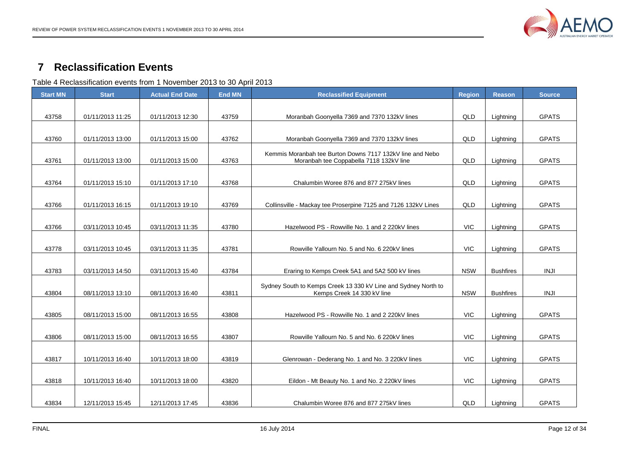

#### **Reclassification Events**

Table 4 Reclassification events from 1 November 2013 to 30 April 2013

<span id="page-11-1"></span><span id="page-11-0"></span>

| <b>Start MN</b> | <b>Start</b>     | <b>Actual End Date</b> | <b>End MN</b> | <b>Reclassified Equipment</b>                                                                        | <b>Region</b> | <b>Reason</b>    | <b>Source</b> |
|-----------------|------------------|------------------------|---------------|------------------------------------------------------------------------------------------------------|---------------|------------------|---------------|
|                 |                  |                        |               |                                                                                                      |               |                  |               |
| 43758           | 01/11/2013 11:25 | 01/11/2013 12:30       | 43759         | Moranbah Goonyella 7369 and 7370 132kV lines                                                         | QLD           | Lightning        | <b>GPATS</b>  |
| 43760           | 01/11/2013 13:00 | 01/11/2013 15:00       | 43762         | Moranbah Goonyella 7369 and 7370 132kV lines                                                         | QLD           | Lightning        | <b>GPATS</b>  |
| 43761           | 01/11/2013 13:00 | 01/11/2013 15:00       | 43763         | Kemmis Moranbah tee Burton Downs 7117 132kV line and Nebo<br>Moranbah tee Coppabella 7118 132kV line | QLD           | Lightning        | <b>GPATS</b>  |
| 43764           | 01/11/2013 15:10 | 01/11/2013 17:10       | 43768         | Chalumbin Woree 876 and 877 275kV lines                                                              | QLD           | Lightning        | <b>GPATS</b>  |
| 43766           | 01/11/2013 16:15 | 01/11/2013 19:10       | 43769         | Collinsville - Mackay tee Proserpine 7125 and 7126 132kV Lines                                       | QLD           | Lightning        | <b>GPATS</b>  |
| 43766           | 03/11/2013 10:45 | 03/11/2013 11:35       | 43780         | Hazelwood PS - Rowville No. 1 and 2 220kV lines                                                      | VIC           | Lightning        | <b>GPATS</b>  |
|                 |                  |                        |               |                                                                                                      |               |                  |               |
| 43778           | 03/11/2013 10:45 | 03/11/2013 11:35       | 43781         | Rowville Yallourn No. 5 and No. 6 220kV lines                                                        | <b>VIC</b>    | Lightning        | <b>GPATS</b>  |
| 43783           | 03/11/2013 14:50 | 03/11/2013 15:40       | 43784         | Eraring to Kemps Creek 5A1 and 5A2 500 kV lines                                                      | <b>NSW</b>    | <b>Bushfires</b> | <b>INJI</b>   |
| 43804           | 08/11/2013 13:10 | 08/11/2013 16:40       | 43811         | Sydney South to Kemps Creek 13 330 kV Line and Sydney North to<br>Kemps Creek 14 330 kV line         | <b>NSW</b>    | <b>Bushfires</b> | <b>INJI</b>   |
|                 |                  |                        |               |                                                                                                      |               |                  |               |
| 43805           | 08/11/2013 15:00 | 08/11/2013 16:55       | 43808         | Hazelwood PS - Rowville No. 1 and 2 220kV lines                                                      | <b>VIC</b>    | Lightning        | <b>GPATS</b>  |
| 43806           | 08/11/2013 15:00 | 08/11/2013 16:55       | 43807         | Rowville Yallourn No. 5 and No. 6 220kV lines                                                        | <b>VIC</b>    | Lightning        | <b>GPATS</b>  |
|                 |                  |                        |               |                                                                                                      |               |                  |               |
| 43817           | 10/11/2013 16:40 | 10/11/2013 18:00       | 43819         | Glenrowan - Dederang No. 1 and No. 3 220kV lines                                                     | <b>VIC</b>    | Lightning        | <b>GPATS</b>  |
| 43818           | 10/11/2013 16:40 | 10/11/2013 18:00       | 43820         | Eildon - Mt Beauty No. 1 and No. 2 220kV lines                                                       | <b>VIC</b>    | Lightning        | <b>GPATS</b>  |
|                 |                  |                        |               |                                                                                                      |               |                  |               |
| 43834           | 12/11/2013 15:45 | 12/11/2013 17:45       | 43836         | Chalumbin Woree 876 and 877 275kV lines                                                              | QLD           | Lightning        | <b>GPATS</b>  |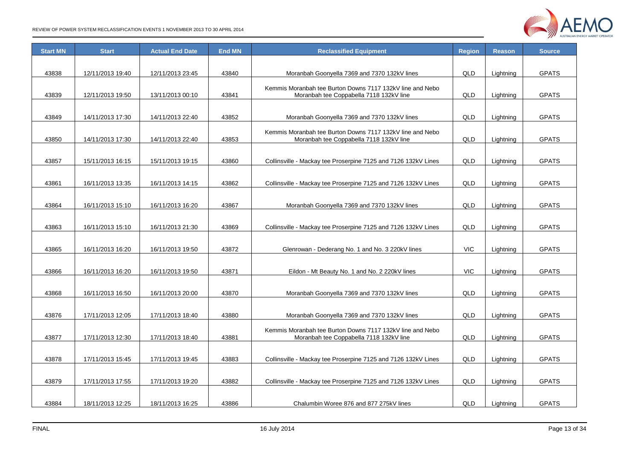

| <b>Start MN</b> | <b>Start</b>     | <b>Actual End Date</b> | <b>End MN</b> | <b>Reclassified Equipment</b>                                  | <b>Region</b> | <b>Reason</b> | <b>Source</b> |
|-----------------|------------------|------------------------|---------------|----------------------------------------------------------------|---------------|---------------|---------------|
|                 |                  |                        |               |                                                                |               |               |               |
| 43838           | 12/11/2013 19:40 | 12/11/2013 23:45       | 43840         | Moranbah Goonyella 7369 and 7370 132kV lines                   | QLD           | Lightning     | <b>GPATS</b>  |
|                 |                  |                        |               | Kemmis Moranbah tee Burton Downs 7117 132kV line and Nebo      |               |               |               |
| 43839           | 12/11/2013 19:50 | 13/11/2013 00:10       | 43841         | Moranbah tee Coppabella 7118 132kV line                        | QLD           | Lightning     | <b>GPATS</b>  |
|                 |                  |                        |               |                                                                |               |               |               |
| 43849           | 14/11/2013 17:30 | 14/11/2013 22:40       | 43852         | Moranbah Goonyella 7369 and 7370 132kV lines                   | QLD           | Lightning     | <b>GPATS</b>  |
|                 |                  |                        |               | Kemmis Moranbah tee Burton Downs 7117 132kV line and Nebo      |               |               |               |
| 43850           | 14/11/2013 17:30 | 14/11/2013 22:40       | 43853         | Moranbah tee Coppabella 7118 132kV line                        | QLD           | Lightning     | <b>GPATS</b>  |
|                 |                  |                        |               |                                                                |               |               |               |
| 43857           | 15/11/2013 16:15 | 15/11/2013 19:15       | 43860         | Collinsville - Mackay tee Proserpine 7125 and 7126 132kV Lines | QLD           | Lightning     | <b>GPATS</b>  |
|                 |                  |                        |               |                                                                |               |               |               |
| 43861           | 16/11/2013 13:35 | 16/11/2013 14:15       | 43862         | Collinsville - Mackay tee Proserpine 7125 and 7126 132kV Lines | QLD           | Lightning     | <b>GPATS</b>  |
|                 |                  |                        |               |                                                                |               |               |               |
| 43864           | 16/11/2013 15:10 | 16/11/2013 16:20       | 43867         | Moranbah Goonyella 7369 and 7370 132kV lines                   | QLD           | Lightning     | <b>GPATS</b>  |
|                 |                  |                        |               |                                                                |               |               |               |
| 43863           | 16/11/2013 15:10 | 16/11/2013 21:30       | 43869         | Collinsville - Mackay tee Proserpine 7125 and 7126 132kV Lines | QLD           | Lightning     | <b>GPATS</b>  |
|                 |                  |                        |               |                                                                |               |               |               |
| 43865           | 16/11/2013 16:20 | 16/11/2013 19:50       | 43872         | Glenrowan - Dederang No. 1 and No. 3 220kV lines               | <b>VIC</b>    | Lightning     | <b>GPATS</b>  |
|                 |                  |                        |               |                                                                |               |               |               |
| 43866           | 16/11/2013 16:20 | 16/11/2013 19:50       | 43871         | Eildon - Mt Beauty No. 1 and No. 2 220kV lines                 | <b>VIC</b>    | Lightning     | <b>GPATS</b>  |
|                 |                  |                        |               |                                                                |               |               |               |
| 43868           | 16/11/2013 16:50 | 16/11/2013 20:00       | 43870         | Moranbah Goonyella 7369 and 7370 132kV lines                   | QLD           | Lightning     | <b>GPATS</b>  |
|                 |                  |                        |               |                                                                |               |               |               |
| 43876           | 17/11/2013 12:05 | 17/11/2013 18:40       | 43880         | Moranbah Goonyella 7369 and 7370 132kV lines                   | QLD           | Lightning     | <b>GPATS</b>  |
|                 |                  |                        |               | Kemmis Moranbah tee Burton Downs 7117 132kV line and Nebo      |               |               |               |
| 43877           | 17/11/2013 12:30 | 17/11/2013 18:40       | 43881         | Moranbah tee Coppabella 7118 132kV line                        | QLD           | Lightning     | <b>GPATS</b>  |
|                 |                  |                        |               |                                                                |               |               |               |
| 43878           | 17/11/2013 15:45 | 17/11/2013 19:45       | 43883         | Collinsville - Mackay tee Proserpine 7125 and 7126 132kV Lines | QLD           | Lightning     | <b>GPATS</b>  |
|                 |                  |                        |               |                                                                |               |               |               |
| 43879           | 17/11/2013 17:55 | 17/11/2013 19:20       | 43882         | Collinsville - Mackay tee Proserpine 7125 and 7126 132kV Lines | QLD           | Lightning     | <b>GPATS</b>  |
|                 |                  |                        |               |                                                                |               |               |               |
| 43884           | 18/11/2013 12:25 | 18/11/2013 16:25       | 43886         | Chalumbin Woree 876 and 877 275kV lines                        | QLD           | Lightning     | <b>GPATS</b>  |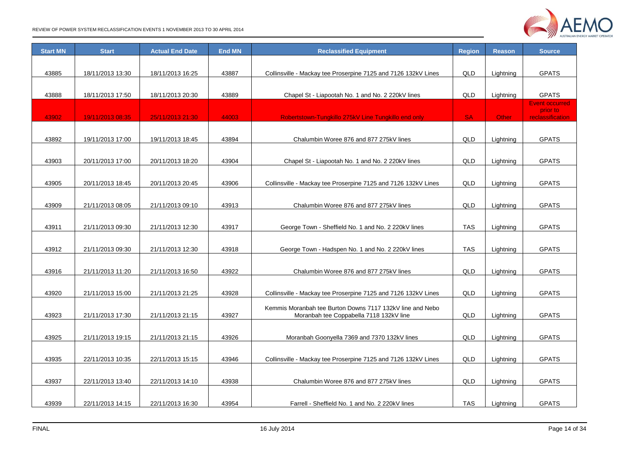

| <b>Start MN</b> | <b>Start</b>     | <b>Actual End Date</b> | <b>End MN</b> | <b>Reclassified Equipment</b>                                  | <b>Region</b> | <b>Reason</b> | <b>Source</b>                     |
|-----------------|------------------|------------------------|---------------|----------------------------------------------------------------|---------------|---------------|-----------------------------------|
|                 |                  |                        |               |                                                                |               |               |                                   |
| 43885           | 18/11/2013 13:30 | 18/11/2013 16:25       | 43887         | Collinsville - Mackay tee Proserpine 7125 and 7126 132kV Lines | QLD           | Lightning     | <b>GPATS</b>                      |
|                 |                  |                        |               |                                                                |               |               |                                   |
| 43888           | 18/11/2013 17:50 | 18/11/2013 20:30       | 43889         | Chapel St - Liapootah No. 1 and No. 2 220kV lines              | QLD           | Lightning     | <b>GPATS</b>                      |
|                 |                  |                        |               |                                                                |               |               | <b>Event occurred</b><br>prior to |
| 43902           | 19/11/2013 08:35 | 25/11/2013 21:30       | 44003         | Robertstown-Tungkillo 275kV Line Tungkillo end only            | <b>SA</b>     | Other         | <b>reclassification</b>           |
|                 |                  |                        |               |                                                                |               |               |                                   |
| 43892           | 19/11/2013 17:00 | 19/11/2013 18:45       | 43894         | Chalumbin Woree 876 and 877 275kV lines                        | QLD           | Lightning     | <b>GPATS</b>                      |
|                 |                  |                        |               |                                                                |               |               |                                   |
| 43903           | 20/11/2013 17:00 | 20/11/2013 18:20       | 43904         | Chapel St - Liapootah No. 1 and No. 2 220kV lines              | QLD           | Lightning     | <b>GPATS</b>                      |
|                 |                  |                        |               |                                                                |               |               |                                   |
| 43905           | 20/11/2013 18:45 | 20/11/2013 20:45       | 43906         | Collinsville - Mackay tee Proserpine 7125 and 7126 132kV Lines | QLD           | Lightning     | <b>GPATS</b>                      |
|                 |                  |                        |               |                                                                |               |               |                                   |
| 43909           | 21/11/2013 08:05 | 21/11/2013 09:10       | 43913         | Chalumbin Woree 876 and 877 275kV lines                        | QLD           | Lightning     | <b>GPATS</b>                      |
|                 |                  |                        |               |                                                                |               |               |                                   |
| 43911           | 21/11/2013 09:30 | 21/11/2013 12:30       | 43917         | George Town - Sheffield No. 1 and No. 2 220kV lines            | <b>TAS</b>    | Lightning     | <b>GPATS</b>                      |
|                 |                  |                        |               |                                                                |               |               |                                   |
| 43912           | 21/11/2013 09:30 | 21/11/2013 12:30       | 43918         | George Town - Hadspen No. 1 and No. 2 220kV lines              | <b>TAS</b>    | Lightning     | <b>GPATS</b>                      |
|                 |                  |                        |               |                                                                |               |               |                                   |
| 43916           | 21/11/2013 11:20 | 21/11/2013 16:50       | 43922         | Chalumbin Woree 876 and 877 275kV lines                        | QLD           | Lightning     | <b>GPATS</b>                      |
|                 |                  |                        |               |                                                                |               |               |                                   |
| 43920           | 21/11/2013 15:00 | 21/11/2013 21:25       | 43928         | Collinsville - Mackay tee Proserpine 7125 and 7126 132kV Lines | QLD           | Lightning     | <b>GPATS</b>                      |
|                 |                  |                        |               | Kemmis Moranbah tee Burton Downs 7117 132kV line and Nebo      |               |               |                                   |
| 43923           | 21/11/2013 17:30 | 21/11/2013 21:15       | 43927         | Moranbah tee Coppabella 7118 132kV line                        | QLD           | Lightning     | <b>GPATS</b>                      |
|                 |                  |                        |               |                                                                |               |               |                                   |
| 43925           | 21/11/2013 19:15 | 21/11/2013 21:15       | 43926         | Moranbah Goonyella 7369 and 7370 132kV lines                   | QLD           | Lightning     | <b>GPATS</b>                      |
|                 |                  |                        |               |                                                                |               |               |                                   |
| 43935           | 22/11/2013 10:35 | 22/11/2013 15:15       | 43946         | Collinsville - Mackay tee Proserpine 7125 and 7126 132kV Lines | QLD           | Lightning     | <b>GPATS</b>                      |
|                 |                  |                        |               |                                                                |               |               |                                   |
| 43937           | 22/11/2013 13:40 | 22/11/2013 14:10       | 43938         | Chalumbin Woree 876 and 877 275kV lines                        | QLD           | Lightning     | <b>GPATS</b>                      |
|                 |                  |                        |               |                                                                |               |               |                                   |
| 43939           | 22/11/2013 14:15 | 22/11/2013 16:30       | 43954         | Farrell - Sheffield No. 1 and No. 2 220kV lines                | <b>TAS</b>    | Lightning     | <b>GPATS</b>                      |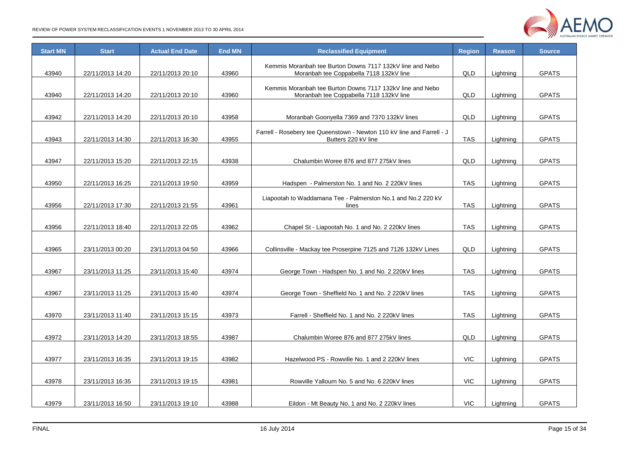

| <b>Start MN</b> | <b>Start</b>     | <b>Actual End Date</b> | <b>End MN</b> | <b>Reclassified Equipment</b>                                                                        | <b>Region</b> | <b>Reason</b> | <b>Source</b> |
|-----------------|------------------|------------------------|---------------|------------------------------------------------------------------------------------------------------|---------------|---------------|---------------|
| 43940           | 22/11/2013 14:20 | 22/11/2013 20:10       | 43960         | Kemmis Moranbah tee Burton Downs 7117 132kV line and Nebo<br>Moranbah tee Coppabella 7118 132kV line | QLD           | Lightning     | <b>GPATS</b>  |
| 43940           | 22/11/2013 14:20 | 22/11/2013 20:10       | 43960         | Kemmis Moranbah tee Burton Downs 7117 132kV line and Nebo<br>Moranbah tee Coppabella 7118 132kV line | QLD           | Lightning     | <b>GPATS</b>  |
| 43942           | 22/11/2013 14:20 | 22/11/2013 20:10       | 43958         | Moranbah Goonyella 7369 and 7370 132kV lines                                                         | QLD           | Lightning     | <b>GPATS</b>  |
| 43943           | 22/11/2013 14:30 | 22/11/2013 16:30       | 43955         | Farrell - Rosebery tee Queenstown - Newton 110 kV line and Farrell - J<br>Butters 220 kV line        | <b>TAS</b>    | Lightning     | <b>GPATS</b>  |
|                 |                  |                        | 43938         |                                                                                                      | QLD           |               |               |
| 43947           | 22/11/2013 15:20 | 22/11/2013 22:15       |               | Chalumbin Woree 876 and 877 275kV lines                                                              |               | Lightning     | <b>GPATS</b>  |
| 43950           | 22/11/2013 16:25 | 22/11/2013 19:50       | 43959         | Hadspen - Palmerston No. 1 and No. 2 220kV lines                                                     | <b>TAS</b>    | Lightning     | <b>GPATS</b>  |
| 43956           | 22/11/2013 17:30 | 22/11/2013 21:55       | 43961         | Liapootah to Waddamana Tee - Palmerston No.1 and No.2 220 kV<br>lines                                | <b>TAS</b>    | Lightning     | <b>GPATS</b>  |
| 43956           | 22/11/2013 18:40 | 22/11/2013 22:05       | 43962         | Chapel St - Liapootah No. 1 and No. 2 220kV lines                                                    | <b>TAS</b>    | Lightning     | <b>GPATS</b>  |
| 43965           | 23/11/2013 00:20 | 23/11/2013 04:50       | 43966         | Collinsville - Mackay tee Proserpine 7125 and 7126 132kV Lines                                       | QLD           | Lightning     | <b>GPATS</b>  |
| 43967           | 23/11/2013 11:25 | 23/11/2013 15:40       | 43974         | George Town - Hadspen No. 1 and No. 2 220kV lines                                                    | <b>TAS</b>    | Lightning     | <b>GPATS</b>  |
|                 |                  |                        |               |                                                                                                      |               |               |               |
| 43967           | 23/11/2013 11:25 | 23/11/2013 15:40       | 43974         | George Town - Sheffield No. 1 and No. 2 220kV lines                                                  | TAS           | Lightning     | <b>GPATS</b>  |
| 43970           | 23/11/2013 11:40 | 23/11/2013 15:15       | 43973         | Farrell - Sheffield No. 1 and No. 2 220kV lines                                                      | <b>TAS</b>    | Lightning     | <b>GPATS</b>  |
|                 |                  |                        |               |                                                                                                      |               |               |               |
| 43972           | 23/11/2013 14:20 | 23/11/2013 18:55       | 43987         | Chalumbin Woree 876 and 877 275kV lines                                                              | QLD           | Lightning     | <b>GPATS</b>  |
|                 |                  |                        |               |                                                                                                      |               |               |               |
| 43977           | 23/11/2013 16:35 | 23/11/2013 19:15       | 43982         | Hazelwood PS - Rowville No. 1 and 2 220kV lines                                                      | <b>VIC</b>    | Lightning     | <b>GPATS</b>  |
| 43978           | 23/11/2013 16:35 | 23/11/2013 19:15       | 43981         | Rowville Yallourn No. 5 and No. 6 220kV lines                                                        | <b>VIC</b>    | Lightning     | <b>GPATS</b>  |
| 43979           | 23/11/2013 16:50 | 23/11/2013 19:10       | 43988         | Eildon - Mt Beauty No. 1 and No. 2 220kV lines                                                       | <b>VIC</b>    | Lightning     | <b>GPATS</b>  |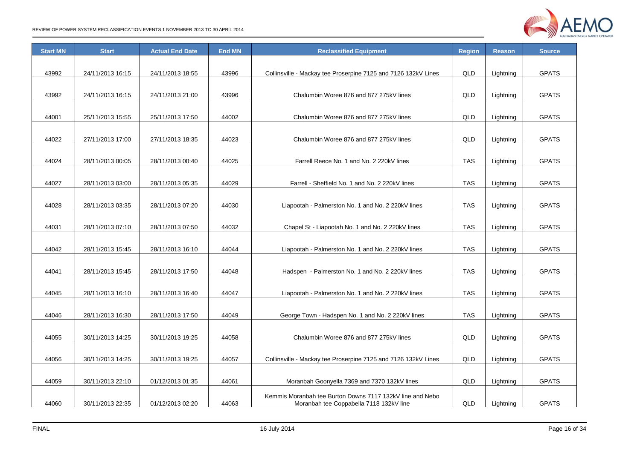

| <b>Start MN</b> | <b>Start</b>     | <b>Actual End Date</b> | <b>End MN</b> | <b>Reclassified Equipment</b>                                  | <b>Region</b> | <b>Reason</b> | <b>Source</b> |
|-----------------|------------------|------------------------|---------------|----------------------------------------------------------------|---------------|---------------|---------------|
|                 |                  |                        |               |                                                                |               |               |               |
| 43992           | 24/11/2013 16:15 | 24/11/2013 18:55       | 43996         | Collinsville - Mackay tee Proserpine 7125 and 7126 132kV Lines | QLD           | Lightning     | <b>GPATS</b>  |
|                 |                  |                        |               |                                                                |               |               |               |
| 43992           | 24/11/2013 16:15 | 24/11/2013 21:00       | 43996         | Chalumbin Woree 876 and 877 275kV lines                        | QLD           | Lightning     | <b>GPATS</b>  |
|                 |                  |                        |               |                                                                |               |               |               |
| 44001           | 25/11/2013 15:55 | 25/11/2013 17:50       | 44002         | Chalumbin Woree 876 and 877 275kV lines                        | QLD           | Lightning     | <b>GPATS</b>  |
|                 |                  |                        |               |                                                                |               |               |               |
| 44022           | 27/11/2013 17:00 | 27/11/2013 18:35       | 44023         | Chalumbin Woree 876 and 877 275kV lines                        | QLD           | Lightning     | <b>GPATS</b>  |
|                 |                  |                        |               |                                                                |               |               |               |
| 44024           | 28/11/2013 00:05 | 28/11/2013 00:40       | 44025         | Farrell Reece No. 1 and No. 2 220kV lines                      | <b>TAS</b>    | Lightning     | <b>GPATS</b>  |
|                 |                  |                        |               |                                                                |               |               |               |
| 44027           | 28/11/2013 03:00 | 28/11/2013 05:35       | 44029         | Farrell - Sheffield No. 1 and No. 2 220kV lines                | <b>TAS</b>    | Lightning     | <b>GPATS</b>  |
|                 |                  |                        |               |                                                                |               |               |               |
| 44028           | 28/11/2013 03:35 | 28/11/2013 07:20       | 44030         | Liapootah - Palmerston No. 1 and No. 2 220kV lines             | TAS           | Lightning     | <b>GPATS</b>  |
|                 |                  |                        |               |                                                                |               |               |               |
| 44031           | 28/11/2013 07:10 | 28/11/2013 07:50       | 44032         | Chapel St - Liapootah No. 1 and No. 2 220kV lines              | <b>TAS</b>    | Lightning     | <b>GPATS</b>  |
|                 |                  |                        |               |                                                                |               |               |               |
| 44042           | 28/11/2013 15:45 | 28/11/2013 16:10       | 44044         | Liapootah - Palmerston No. 1 and No. 2 220kV lines             | <b>TAS</b>    | Lightning     | <b>GPATS</b>  |
|                 |                  |                        |               |                                                                |               |               |               |
| 44041           | 28/11/2013 15:45 | 28/11/2013 17:50       | 44048         | Hadspen - Palmerston No. 1 and No. 2 220kV lines               | TAS           | Lightning     | <b>GPATS</b>  |
|                 |                  |                        |               |                                                                |               |               |               |
| 44045           | 28/11/2013 16:10 | 28/11/2013 16:40       | 44047         | Liapootah - Palmerston No. 1 and No. 2 220kV lines             | <b>TAS</b>    | Lightning     | <b>GPATS</b>  |
|                 |                  |                        |               |                                                                |               |               |               |
| 44046           | 28/11/2013 16:30 | 28/11/2013 17:50       | 44049         | George Town - Hadspen No. 1 and No. 2 220kV lines              | <b>TAS</b>    | Lightning     | <b>GPATS</b>  |
|                 |                  |                        |               |                                                                |               |               |               |
| 44055           | 30/11/2013 14:25 | 30/11/2013 19:25       | 44058         | Chalumbin Woree 876 and 877 275kV lines                        | QLD           | Lightning     | <b>GPATS</b>  |
|                 |                  |                        |               |                                                                |               |               |               |
| 44056           | 30/11/2013 14:25 | 30/11/2013 19:25       | 44057         | Collinsville - Mackay tee Proserpine 7125 and 7126 132kV Lines | QLD           | Lightning     | <b>GPATS</b>  |
|                 |                  |                        |               |                                                                |               |               |               |
| 44059           | 30/11/2013 22:10 | 01/12/2013 01:35       | 44061         | Moranbah Goonyella 7369 and 7370 132kV lines                   | QLD           | Lightning     | <b>GPATS</b>  |
|                 |                  |                        |               | Kemmis Moranbah tee Burton Downs 7117 132kV line and Nebo      |               |               |               |
| 44060           | 30/11/2013 22:35 | 01/12/2013 02:20       | 44063         | Moranbah tee Coppabella 7118 132kV line                        | <b>QLD</b>    | Lightning     | <b>GPATS</b>  |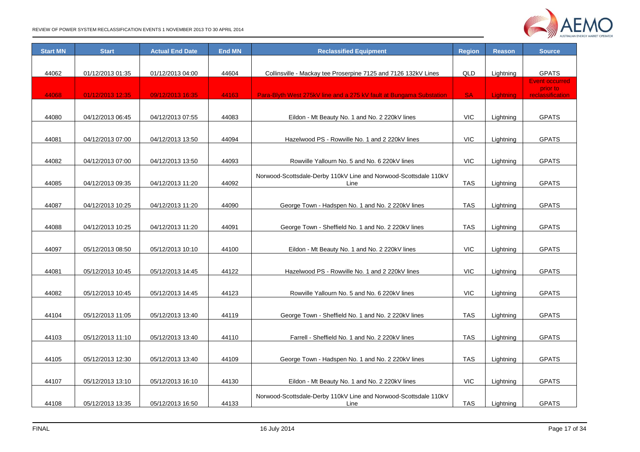

| <b>Start MN</b> | <b>Start</b>     | <b>Actual End Date</b> | <b>End MN</b> | <b>Reclassified Equipment</b>                                       | <b>Region</b> | <b>Reason</b> | <b>Source</b>                     |
|-----------------|------------------|------------------------|---------------|---------------------------------------------------------------------|---------------|---------------|-----------------------------------|
|                 |                  |                        |               |                                                                     |               |               |                                   |
| 44062           | 01/12/2013 01:35 | 01/12/2013 04:00       | 44604         | Collinsville - Mackay tee Proserpine 7125 and 7126 132kV Lines      | QLD           | Lightning     | <b>GPATS</b>                      |
|                 |                  |                        |               |                                                                     |               |               | <b>Event occurred</b><br>prior to |
| 44068           | 01/12/2013 12:35 | 09/12/2013 16:35       | 44163         | Para-Blyth West 275kV line and a 275 kV fault at Bungama Substation | <b>SA</b>     | Lightning     | <b>reclassification</b>           |
|                 |                  |                        |               |                                                                     |               |               |                                   |
| 44080           | 04/12/2013 06:45 | 04/12/2013 07:55       | 44083         | Eildon - Mt Beauty No. 1 and No. 2 220kV lines                      | <b>VIC</b>    | Lightning     | <b>GPATS</b>                      |
|                 |                  |                        |               |                                                                     |               |               |                                   |
| 44081           | 04/12/2013 07:00 | 04/12/2013 13:50       | 44094         | Hazelwood PS - Rowville No. 1 and 2 220kV lines                     | <b>VIC</b>    | Lightning     | <b>GPATS</b>                      |
|                 |                  |                        |               |                                                                     |               |               |                                   |
| 44082           | 04/12/2013 07:00 | 04/12/2013 13:50       | 44093         | Rowville Yallourn No. 5 and No. 6 220kV lines                       | <b>VIC</b>    | Lightning     | <b>GPATS</b>                      |
|                 |                  |                        |               | Norwood-Scottsdale-Derby 110kV Line and Norwood-Scottsdale 110kV    |               |               |                                   |
| 44085           | 04/12/2013 09:35 | 04/12/2013 11:20       | 44092         | Line                                                                | <b>TAS</b>    | Lightning     | <b>GPATS</b>                      |
|                 |                  |                        |               |                                                                     |               |               |                                   |
| 44087           | 04/12/2013 10:25 | 04/12/2013 11:20       | 44090         | George Town - Hadspen No. 1 and No. 2 220kV lines                   | <b>TAS</b>    | Lightning     | <b>GPATS</b>                      |
|                 |                  |                        |               |                                                                     |               |               |                                   |
| 44088           | 04/12/2013 10:25 | 04/12/2013 11:20       | 44091         | George Town - Sheffield No. 1 and No. 2 220kV lines                 | <b>TAS</b>    | Lightning     | <b>GPATS</b>                      |
|                 |                  |                        |               |                                                                     |               |               |                                   |
| 44097           | 05/12/2013 08:50 | 05/12/2013 10:10       | 44100         | Eildon - Mt Beauty No. 1 and No. 2 220kV lines                      | <b>VIC</b>    | Lightning     | <b>GPATS</b>                      |
|                 |                  |                        |               |                                                                     |               |               |                                   |
| 44081           | 05/12/2013 10:45 | 05/12/2013 14:45       | 44122         | Hazelwood PS - Rowville No. 1 and 2 220kV lines                     | <b>VIC</b>    | Lightning     | <b>GPATS</b>                      |
|                 |                  |                        |               |                                                                     |               |               |                                   |
| 44082           | 05/12/2013 10:45 | 05/12/2013 14:45       | 44123         | Rowville Yallourn No. 5 and No. 6 220kV lines                       | <b>VIC</b>    | Lightning     | <b>GPATS</b>                      |
|                 |                  |                        |               |                                                                     |               |               |                                   |
| 44104           | 05/12/2013 11:05 | 05/12/2013 13:40       | 44119         | George Town - Sheffield No. 1 and No. 2 220kV lines                 | <b>TAS</b>    | Lightning     | <b>GPATS</b>                      |
|                 |                  |                        |               |                                                                     |               |               |                                   |
| 44103           | 05/12/2013 11:10 | 05/12/2013 13:40       | 44110         | Farrell - Sheffield No. 1 and No. 2 220kV lines                     | TAS           | Lightning     | <b>GPATS</b>                      |
|                 |                  |                        |               |                                                                     |               |               |                                   |
| 44105           | 05/12/2013 12:30 | 05/12/2013 13:40       | 44109         | George Town - Hadspen No. 1 and No. 2 220kV lines                   | TAS           | Lightning     | <b>GPATS</b>                      |
|                 |                  |                        |               |                                                                     |               |               |                                   |
| 44107           | 05/12/2013 13:10 | 05/12/2013 16:10       | 44130         | Eildon - Mt Beauty No. 1 and No. 2 220kV lines                      | <b>VIC</b>    | Lightning     | <b>GPATS</b>                      |
|                 |                  |                        |               | Norwood-Scottsdale-Derby 110kV Line and Norwood-Scottsdale 110kV    |               |               |                                   |
| 44108           | 05/12/2013 13:35 | 05/12/2013 16:50       | 44133         | Line                                                                | <b>TAS</b>    | Lightning     | <b>GPATS</b>                      |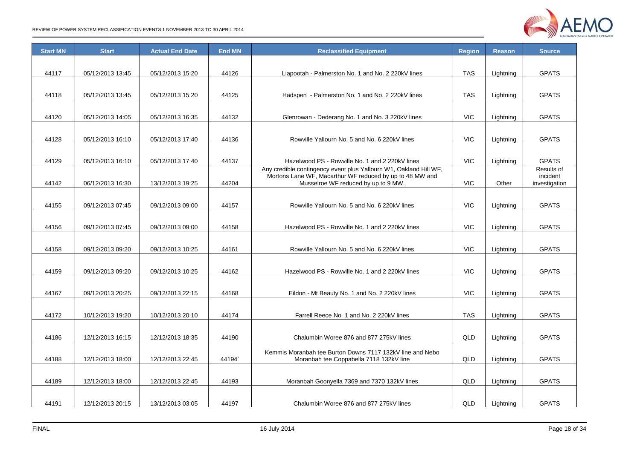

| <b>Start MN</b> | <b>Start</b>     | <b>Actual End Date</b> | <b>End MN</b> | <b>Reclassified Equipment</b>                                                                                        | <b>Region</b> | <b>Reason</b> | <b>Source</b>              |
|-----------------|------------------|------------------------|---------------|----------------------------------------------------------------------------------------------------------------------|---------------|---------------|----------------------------|
|                 |                  |                        |               |                                                                                                                      |               |               |                            |
| 44117           | 05/12/2013 13:45 | 05/12/2013 15:20       | 44126         | Liapootah - Palmerston No. 1 and No. 2 220kV lines                                                                   | <b>TAS</b>    | Lightning     | <b>GPATS</b>               |
|                 |                  |                        |               |                                                                                                                      |               |               |                            |
| 44118           | 05/12/2013 13:45 | 05/12/2013 15:20       | 44125         | Hadspen - Palmerston No. 1 and No. 2 220kV lines                                                                     | <b>TAS</b>    | Lightning     | <b>GPATS</b>               |
|                 |                  |                        |               |                                                                                                                      |               |               |                            |
| 44120           | 05/12/2013 14:05 | 05/12/2013 16:35       | 44132         | Glenrowan - Dederang No. 1 and No. 3 220kV lines                                                                     | <b>VIC</b>    | Lightning     | <b>GPATS</b>               |
|                 |                  |                        |               |                                                                                                                      |               |               |                            |
| 44128           | 05/12/2013 16:10 | 05/12/2013 17:40       | 44136         | Rowville Yallourn No. 5 and No. 6 220kV lines                                                                        | <b>VIC</b>    |               | <b>GPATS</b>               |
|                 |                  |                        |               |                                                                                                                      |               | Lightning     |                            |
|                 |                  |                        |               |                                                                                                                      |               |               |                            |
| 44129           | 05/12/2013 16:10 | 05/12/2013 17:40       | 44137         | Hazelwood PS - Rowville No. 1 and 2 220kV lines<br>Any credible contingency event plus Yallourn W1, Oakland Hill WF, | <b>VIC</b>    | Lightning     | <b>GPATS</b><br>Results of |
|                 |                  |                        |               | Mortons Lane WF, Macarthur WF reduced by up to 48 MW and                                                             |               |               | incident                   |
| 44142           | 06/12/2013 16:30 | 13/12/2013 19:25       | 44204         | Musselroe WF reduced by up to 9 MW.                                                                                  | <b>VIC</b>    | Other         | investigation              |
|                 |                  |                        |               |                                                                                                                      |               |               |                            |
| 44155           | 09/12/2013 07:45 | 09/12/2013 09:00       | 44157         | Rowville Yallourn No. 5 and No. 6 220kV lines                                                                        | <b>VIC</b>    | Lightning     | <b>GPATS</b>               |
|                 |                  |                        |               |                                                                                                                      |               |               |                            |
| 44156           | 09/12/2013 07:45 | 09/12/2013 09:00       | 44158         | Hazelwood PS - Rowville No. 1 and 2 220kV lines                                                                      | <b>VIC</b>    | Lightning     | <b>GPATS</b>               |
|                 |                  |                        |               |                                                                                                                      |               |               |                            |
| 44158           | 09/12/2013 09:20 | 09/12/2013 10:25       | 44161         | Rowville Yallourn No. 5 and No. 6 220kV lines                                                                        | <b>VIC</b>    | Lightning     | <b>GPATS</b>               |
|                 |                  |                        |               |                                                                                                                      |               |               |                            |
| 44159           | 09/12/2013 09:20 | 09/12/2013 10:25       | 44162         | Hazelwood PS - Rowville No. 1 and 2 220kV lines                                                                      | <b>VIC</b>    | Lightning     | <b>GPATS</b>               |
|                 |                  |                        |               |                                                                                                                      |               |               |                            |
| 44167           | 09/12/2013 20:25 | 09/12/2013 22:15       | 44168         | Eildon - Mt Beauty No. 1 and No. 2 220kV lines                                                                       | <b>VIC</b>    | Lightning     | <b>GPATS</b>               |
|                 |                  |                        |               |                                                                                                                      |               |               |                            |
| 44172           | 10/12/2013 19:20 | 10/12/2013 20:10       | 44174         | Farrell Reece No. 1 and No. 2 220kV lines                                                                            | <b>TAS</b>    | Lightning     | <b>GPATS</b>               |
|                 |                  |                        |               |                                                                                                                      |               |               |                            |
| 44186           | 12/12/2013 16:15 | 12/12/2013 18:35       | 44190         | Chalumbin Woree 876 and 877 275kV lines                                                                              | <b>QLD</b>    | Lightning     | <b>GPATS</b>               |
|                 |                  |                        |               |                                                                                                                      |               |               |                            |
|                 |                  |                        |               | Kemmis Moranbah tee Burton Downs 7117 132kV line and Nebo                                                            |               |               |                            |
| 44188           | 12/12/2013 18:00 | 12/12/2013 22:45       | 44194         | Moranbah tee Coppabella 7118 132kV line                                                                              | QLD           | Lightning     | <b>GPATS</b>               |
|                 |                  |                        |               |                                                                                                                      |               |               |                            |
| 44189           | 12/12/2013 18:00 | 12/12/2013 22:45       | 44193         | Moranbah Goonyella 7369 and 7370 132kV lines                                                                         | <b>QLD</b>    | Lightning     | <b>GPATS</b>               |
|                 |                  |                        |               |                                                                                                                      |               |               |                            |
| 44191           | 12/12/2013 20:15 | 13/12/2013 03:05       | 44197         | Chalumbin Woree 876 and 877 275kV lines                                                                              | <b>QLD</b>    | Lightning     | <b>GPATS</b>               |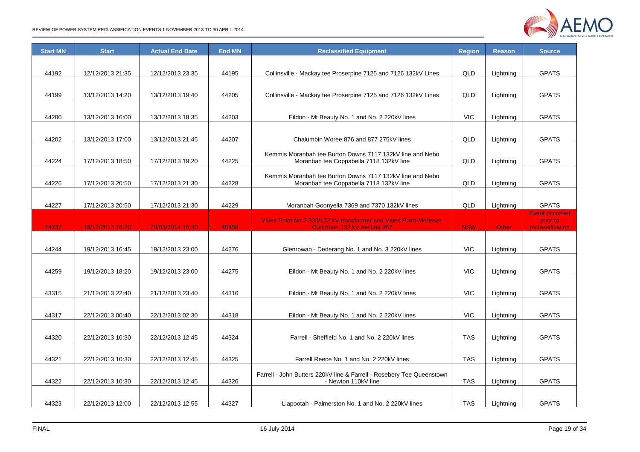

| <b>Start MN</b> | <b>Start</b>     | <b>Actual End Date</b> | <b>End MN</b> | <b>Reclassified Equipment</b>                                         | <b>Region</b> | <b>Reason</b> | <b>Source</b>                     |
|-----------------|------------------|------------------------|---------------|-----------------------------------------------------------------------|---------------|---------------|-----------------------------------|
|                 |                  |                        |               |                                                                       |               |               |                                   |
| 44192           | 12/12/2013 21:35 | 12/12/2013 23:35       | 44195         | Collinsville - Mackay tee Proserpine 7125 and 7126 132kV Lines        | QLD           | Lightning     | <b>GPATS</b>                      |
|                 |                  |                        |               |                                                                       |               |               |                                   |
| 44199           | 13/12/2013 14:20 | 13/12/2013 19:40       | 44205         | Collinsville - Mackay tee Proserpine 7125 and 7126 132kV Lines        | QLD           | Lightning     | <b>GPATS</b>                      |
|                 |                  |                        |               |                                                                       |               |               |                                   |
| 44200           | 13/12/2013 16:00 | 13/12/2013 18:35       | 44203         | Eildon - Mt Beauty No. 1 and No. 2 220kV lines                        | <b>VIC</b>    | Lightning     | <b>GPATS</b>                      |
|                 |                  |                        |               |                                                                       |               |               |                                   |
| 44202           | 13/12/2013 17:00 | 13/12/2013 21:45       | 44207         | Chalumbin Woree 876 and 877 275kV lines                               | QLD           | Lightning     | <b>GPATS</b>                      |
|                 |                  |                        |               | Kemmis Moranbah tee Burton Downs 7117 132kV line and Nebo             |               |               |                                   |
| 44224           | 17/12/2013 18:50 | 17/12/2013 19:20       | 44225         | Moranbah tee Coppabella 7118 132kV line                               | QLD           | Lightning     | <b>GPATS</b>                      |
|                 |                  |                        |               | Kemmis Moranbah tee Burton Downs 7117 132kV line and Nebo             |               |               |                                   |
| 44226           | 17/12/2013 20:50 | 17/12/2013 21:30       | 44228         | Moranbah tee Coppabella 7118 132kV line                               | QLD           | Lightning     | <b>GPATS</b>                      |
|                 |                  |                        |               |                                                                       |               |               |                                   |
| 44227           | 17/12/2013 20:50 | 17/12/2013 21:30       | 44229         | Moranbah Goonyella 7369 and 7370 132kV lines                          | QLD           | Lightning     | <b>GPATS</b>                      |
|                 |                  |                        |               | Vales Point No.2 330/132 kV transformer and Vales Point-Morisset-     |               |               | <b>Event occurred</b><br>prior to |
| 44237           | 18/12/2013 18:20 | 28/03/2014 16:30       | 45458         | Ourimbah 132 kV tee line 957                                          | <b>NSW</b>    | Other         | reclassification                  |
|                 |                  |                        |               |                                                                       |               |               |                                   |
| 44244           | 19/12/2013 16:45 | 19/12/2013 23:00       | 44276         | Glenrowan - Dederang No. 1 and No. 3 220kV lines                      | <b>VIC</b>    | Lightning     | <b>GPATS</b>                      |
|                 |                  |                        |               |                                                                       |               |               |                                   |
| 44259           | 19/12/2013 18:20 | 19/12/2013 23:00       | 44275         | Eildon - Mt Beauty No. 1 and No. 2 220kV lines                        | <b>VIC</b>    | Lightning     | <b>GPATS</b>                      |
|                 |                  |                        |               |                                                                       |               |               |                                   |
| 43315           | 21/12/2013 22:40 | 21/12/2013 23:40       | 44316         | Eildon - Mt Beauty No. 1 and No. 2 220kV lines                        | <b>VIC</b>    | Lightning     | <b>GPATS</b>                      |
|                 |                  |                        |               |                                                                       |               |               |                                   |
| 44317           | 22/12/2013 00:40 | 22/12/2013 02:30       | 44318         | Eildon - Mt Beauty No. 1 and No. 2 220kV lines                        | <b>VIC</b>    | Lightning     | <b>GPATS</b>                      |
|                 |                  |                        |               |                                                                       |               |               |                                   |
| 44320           | 22/12/2013 10:30 | 22/12/2013 12:45       | 44324         | Farrell - Sheffield No. 1 and No. 2 220kV lines                       | <b>TAS</b>    | Lightning     | <b>GPATS</b>                      |
|                 |                  |                        |               |                                                                       |               |               |                                   |
| 44321           | 22/12/2013 10:30 | 22/12/2013 12:45       | 44325         | Farrell Reece No. 1 and No. 2 220kV lines                             | <b>TAS</b>    | Lightning     | <b>GPATS</b>                      |
|                 |                  |                        |               | Farrell - John Butters 220kV line & Farrell - Rosebery Tee Queenstown |               |               |                                   |
| 44322           | 22/12/2013 10:30 | 22/12/2013 12:45       | 44326         | - Newton 110kV line                                                   | <b>TAS</b>    | Lightning     | <b>GPATS</b>                      |
|                 |                  |                        |               |                                                                       |               |               |                                   |
| 44323           | 22/12/2013 12:00 | 22/12/2013 12:55       | 44327         | Liapootah - Palmerston No. 1 and No. 2 220kV lines                    | <b>TAS</b>    | Lightning     | <b>GPATS</b>                      |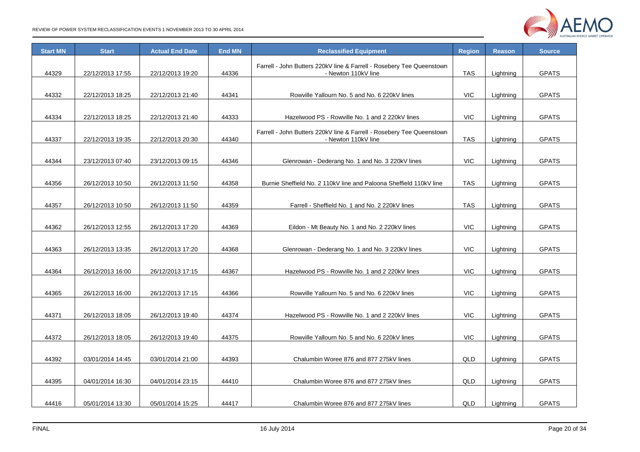

| <b>Start MN</b> | <b>Start</b>     | <b>Actual End Date</b> | <b>End MN</b> | <b>Reclassified Equipment</b>                                                                | <b>Region</b> | <b>Reason</b> | <b>Source</b> |
|-----------------|------------------|------------------------|---------------|----------------------------------------------------------------------------------------------|---------------|---------------|---------------|
| 44329           | 22/12/2013 17:55 | 22/12/2013 19:20       | 44336         | Farrell - John Butters 220kV line & Farrell - Rosebery Tee Queenstown<br>- Newton 110kV line | <b>TAS</b>    | Lightning     | <b>GPATS</b>  |
| 44332           | 22/12/2013 18:25 | 22/12/2013 21:40       | 44341         | Rowville Yallourn No. 5 and No. 6 220kV lines                                                | <b>VIC</b>    | Lightning     | <b>GPATS</b>  |
| 44334           | 22/12/2013 18:25 | 22/12/2013 21:40       | 44333         | Hazelwood PS - Rowville No. 1 and 2 220kV lines                                              | <b>VIC</b>    | Lightning     | <b>GPATS</b>  |
| 44337           | 22/12/2013 19:35 | 22/12/2013 20:30       | 44340         | Farrell - John Butters 220kV line & Farrell - Rosebery Tee Queenstown<br>- Newton 110kV line | TAS           | Lightning     | <b>GPATS</b>  |
| 44344           | 23/12/2013 07:40 | 23/12/2013 09:15       | 44346         | Glenrowan - Dederang No. 1 and No. 3 220kV lines                                             | <b>VIC</b>    | Lightning     | <b>GPATS</b>  |
| 44356           | 26/12/2013 10:50 | 26/12/2013 11:50       | 44358         | Burnie Sheffield No. 2 110kV line and Paloona Sheffield 110kV line                           | <b>TAS</b>    | Lightning     | <b>GPATS</b>  |
| 44357           | 26/12/2013 10:50 | 26/12/2013 11:50       | 44359         | Farrell - Sheffield No. 1 and No. 2 220kV lines                                              | <b>TAS</b>    | Lightning     | <b>GPATS</b>  |
| 44362           | 26/12/2013 12:55 | 26/12/2013 17:20       | 44369         | Eildon - Mt Beauty No. 1 and No. 2 220kV lines                                               | <b>VIC</b>    | Lightning     | <b>GPATS</b>  |
| 44363           | 26/12/2013 13:35 | 26/12/2013 17:20       | 44368         | Glenrowan - Dederang No. 1 and No. 3 220kV lines                                             | <b>VIC</b>    | Lightning     | <b>GPATS</b>  |
| 44364           | 26/12/2013 16:00 | 26/12/2013 17:15       | 44367         | Hazelwood PS - Rowville No. 1 and 2 220kV lines                                              | <b>VIC</b>    | Lightning     | <b>GPATS</b>  |
| 44365           | 26/12/2013 16:00 | 26/12/2013 17:15       | 44366         | Rowville Yallourn No. 5 and No. 6 220kV lines                                                | <b>VIC</b>    | Lightning     | <b>GPATS</b>  |
| 44371           | 26/12/2013 18:05 | 26/12/2013 19:40       | 44374         | Hazelwood PS - Rowville No. 1 and 2 220kV lines                                              | <b>VIC</b>    | Lightning     | <b>GPATS</b>  |
| 44372           | 26/12/2013 18:05 | 26/12/2013 19:40       | 44375         | Rowville Yallourn No. 5 and No. 6 220kV lines                                                | <b>VIC</b>    | Lightning     | <b>GPATS</b>  |
| 44392           | 03/01/2014 14:45 | 03/01/2014 21:00       | 44393         | Chalumbin Woree 876 and 877 275kV lines                                                      | QLD           | Lightning     | <b>GPATS</b>  |
| 44395           | 04/01/2014 16:30 | 04/01/2014 23:15       | 44410         | Chalumbin Woree 876 and 877 275kV lines                                                      | QLD           | Lightning     | <b>GPATS</b>  |
| 44416           | 05/01/2014 13:30 | 05/01/2014 15:25       | 44417         | Chalumbin Woree 876 and 877 275kV lines                                                      | QLD           | Lightning     | <b>GPATS</b>  |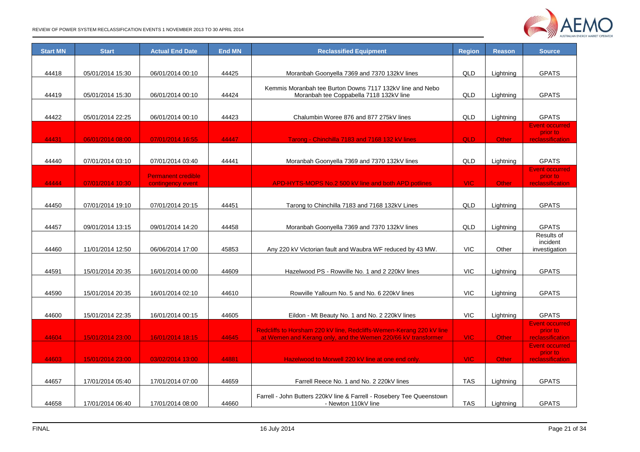

| <b>Start MN</b> | <b>Start</b>     | <b>Actual End Date</b>    | <b>End MN</b> | <b>Reclassified Equipment</b>                                         | <b>Region</b> | <b>Reason</b> | <b>Source</b>                     |
|-----------------|------------------|---------------------------|---------------|-----------------------------------------------------------------------|---------------|---------------|-----------------------------------|
|                 |                  |                           |               |                                                                       |               |               |                                   |
| 44418           | 05/01/2014 15:30 | 06/01/2014 00:10          | 44425         | Moranbah Goonyella 7369 and 7370 132kV lines                          | QLD           | Lightning     | <b>GPATS</b>                      |
|                 |                  |                           |               | Kemmis Moranbah tee Burton Downs 7117 132kV line and Nebo             |               |               |                                   |
| 44419           | 05/01/2014 15:30 | 06/01/2014 00:10          | 44424         | Moranbah tee Coppabella 7118 132kV line                               | QLD           | Lightning     | <b>GPATS</b>                      |
|                 |                  |                           |               |                                                                       |               |               |                                   |
| 44422           | 05/01/2014 22:25 | 06/01/2014 00:10          | 44423         | Chalumbin Woree 876 and 877 275kV lines                               | QLD           | Lightning     | <b>GPATS</b>                      |
|                 |                  |                           |               |                                                                       |               |               | <b>Event occurred</b><br>prior to |
| 44431           | 06/01/2014 08:00 | 07/01/2014 16:55          | 44447         | Tarong - Chinchilla 7183 and 7168 132 kV lines                        | QLD           | Other         | <b>reclassification</b>           |
|                 |                  |                           |               |                                                                       |               |               |                                   |
| 44440           | 07/01/2014 03:10 | 07/01/2014 03:40          | 44441         | Moranbah Goonyella 7369 and 7370 132kV lines                          | QLD           | Lightning     | <b>GPATS</b>                      |
|                 |                  | <b>Permanent credible</b> |               |                                                                       |               |               | <b>Event occurred</b><br>prior to |
| 44444           | 07/01/2014 10:30 | contingency event         |               | APD-HYTS-MOPS No.2 500 kV line and both APD potlines                  | <b>VIC</b>    | Other         | reclassification                  |
|                 |                  |                           |               |                                                                       |               |               |                                   |
| 44450           | 07/01/2014 19:10 | 07/01/2014 20:15          | 44451         | Tarong to Chinchilla 7183 and 7168 132kV Lines                        | QLD           | Lightning     | <b>GPATS</b>                      |
|                 |                  |                           |               |                                                                       |               |               |                                   |
| 44457           | 09/01/2014 13:15 | 09/01/2014 14:20          | 44458         | Moranbah Goonyella 7369 and 7370 132kV lines                          | QLD           | Lightning     | <b>GPATS</b>                      |
|                 |                  |                           |               |                                                                       |               |               | Results of<br>incident            |
| 44460           | 11/01/2014 12:50 | 06/06/2014 17:00          | 45853         | Any 220 kV Victorian fault and Waubra WF reduced by 43 MW.            | <b>VIC</b>    | Other         | investigation                     |
|                 |                  |                           |               |                                                                       |               |               |                                   |
| 44591           | 15/01/2014 20:35 | 16/01/2014 00:00          | 44609         | Hazelwood PS - Rowville No. 1 and 2 220kV lines                       | <b>VIC</b>    | Lightning     | <b>GPATS</b>                      |
|                 |                  |                           |               |                                                                       |               |               |                                   |
| 44590           | 15/01/2014 20:35 | 16/01/2014 02:10          | 44610         | Rowville Yallourn No. 5 and No. 6 220kV lines                         | <b>VIC</b>    | Lightning     | <b>GPATS</b>                      |
|                 |                  |                           |               |                                                                       |               |               |                                   |
| 44600           | 15/01/2014 22:35 | 16/01/2014 00:15          | 44605         | Eildon - Mt Beauty No. 1 and No. 2 220kV lines                        | <b>VIC</b>    | Lightning     | <b>GPATS</b>                      |
|                 |                  |                           |               | Redcliffs to Horsham 220 kV line, Redcliffs-Wemen-Kerang 220 kV line  |               |               | <b>Event occurred</b><br>prior to |
| 44604           | 15/01/2014 23:00 | 16/01/2014 18:15          | 44645         | at Wemen and Kerang only, and the Wemen 220/66 kV transformer         | <b>VIC</b>    | Other         | <b>reclassification</b>           |
|                 |                  |                           |               |                                                                       |               |               | <b>Event occurred</b><br>prior to |
| 44603           | 15/01/2014 23:00 | 03/02/2014 13:00          | 44881         | Hazelwood to Morwell 220 kV line at one end only.                     | <b>VIC</b>    | Other         | reclassification                  |
|                 |                  |                           |               |                                                                       |               |               |                                   |
| 44657           | 17/01/2014 05:40 | 17/01/2014 07:00          | 44659         | Farrell Reece No. 1 and No. 2 220kV lines                             | TAS           | Lightning     | <b>GPATS</b>                      |
|                 |                  |                           |               | Farrell - John Butters 220kV line & Farrell - Rosebery Tee Queenstown |               |               |                                   |
| 44658           | 17/01/2014 06:40 | 17/01/2014 08:00          | 44660         | - Newton 110kV line                                                   | <b>TAS</b>    | Lightning     | <b>GPATS</b>                      |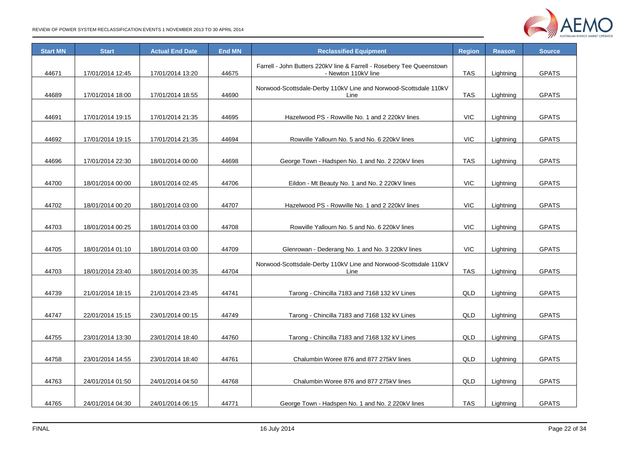

| <b>Start MN</b> | <b>Start</b>     | <b>Actual End Date</b> | <b>End MN</b> | <b>Reclassified Equipment</b>                                                                | <b>Region</b> | <b>Reason</b> | <b>Source</b> |
|-----------------|------------------|------------------------|---------------|----------------------------------------------------------------------------------------------|---------------|---------------|---------------|
| 44671           | 17/01/2014 12:45 | 17/01/2014 13:20       | 44675         | Farrell - John Butters 220kV line & Farrell - Rosebery Tee Queenstown<br>- Newton 110kV line | <b>TAS</b>    | Lightning     | <b>GPATS</b>  |
| 44689           | 17/01/2014 18:00 | 17/01/2014 18:55       | 44690         | Norwood-Scottsdale-Derby 110kV Line and Norwood-Scottsdale 110kV<br>Line                     | <b>TAS</b>    | Lightning     | <b>GPATS</b>  |
| 44691           | 17/01/2014 19:15 | 17/01/2014 21:35       | 44695         | Hazelwood PS - Rowville No. 1 and 2 220kV lines                                              | <b>VIC</b>    | Lightning     | <b>GPATS</b>  |
| 44692           | 17/01/2014 19:15 | 17/01/2014 21:35       | 44694         | Rowville Yallourn No. 5 and No. 6 220kV lines                                                | <b>VIC</b>    | Lightning     | <b>GPATS</b>  |
| 44696           | 17/01/2014 22:30 | 18/01/2014 00:00       | 44698         | George Town - Hadspen No. 1 and No. 2 220kV lines                                            | TAS           | Lightning     | <b>GPATS</b>  |
| 44700           | 18/01/2014 00:00 | 18/01/2014 02:45       | 44706         | Eildon - Mt Beauty No. 1 and No. 2 220kV lines                                               | <b>VIC</b>    | Lightning     | <b>GPATS</b>  |
| 44702           | 18/01/2014 00:20 | 18/01/2014 03:00       | 44707         | Hazelwood PS - Rowville No. 1 and 2 220kV lines                                              | <b>VIC</b>    | Lightning     | <b>GPATS</b>  |
| 44703           | 18/01/2014 00:25 | 18/01/2014 03:00       | 44708         | Rowville Yallourn No. 5 and No. 6 220kV lines                                                | <b>VIC</b>    | Lightning     | <b>GPATS</b>  |
| 44705           | 18/01/2014 01:10 | 18/01/2014 03:00       | 44709         | Glenrowan - Dederang No. 1 and No. 3 220kV lines                                             | <b>VIC</b>    | Lightning     | <b>GPATS</b>  |
| 44703           | 18/01/2014 23:40 | 18/01/2014 00:35       | 44704         | Norwood-Scottsdale-Derby 110kV Line and Norwood-Scottsdale 110kV<br>Line                     | TAS           | Lightning     | <b>GPATS</b>  |
| 44739           | 21/01/2014 18:15 | 21/01/2014 23:45       | 44741         | Tarong - Chincilla 7183 and 7168 132 kV Lines                                                | QLD           | Lightning     | <b>GPATS</b>  |
| 44747           | 22/01/2014 15:15 | 23/01/2014 00:15       | 44749         | Tarong - Chincilla 7183 and 7168 132 kV Lines                                                | QLD           | Lightning     | <b>GPATS</b>  |
| 44755           | 23/01/2014 13:30 | 23/01/2014 18:40       | 44760         | Tarong - Chincilla 7183 and 7168 132 kV Lines                                                | QLD           | Lightning     | <b>GPATS</b>  |
| 44758           | 23/01/2014 14:55 | 23/01/2014 18:40       | 44761         | Chalumbin Woree 876 and 877 275kV lines                                                      | QLD           | Lightning     | <b>GPATS</b>  |
| 44763           | 24/01/2014 01:50 | 24/01/2014 04:50       | 44768         | Chalumbin Woree 876 and 877 275kV lines                                                      | QLD           | Lightning     | <b>GPATS</b>  |
| 44765           | 24/01/2014 04:30 | 24/01/2014 06:15       | 44771         | George Town - Hadspen No. 1 and No. 2 220kV lines                                            | <b>TAS</b>    | Lightning     | <b>GPATS</b>  |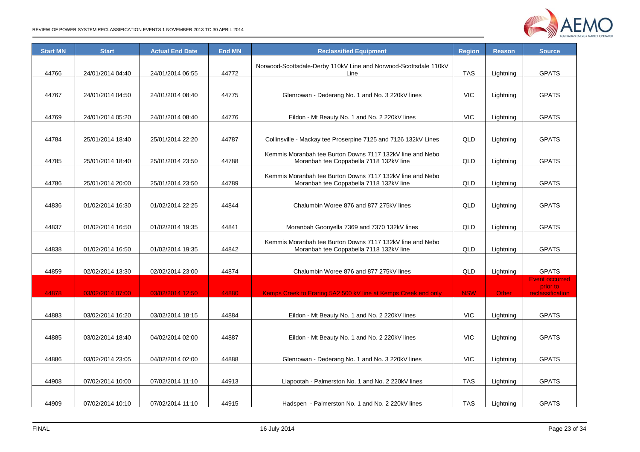

| <b>Start MN</b> | <b>Start</b>     | <b>Actual End Date</b> | <b>End MN</b> | <b>Reclassified Equipment</b>                                                                        | <b>Region</b> | <b>Reason</b> | <b>Source</b>                                         |
|-----------------|------------------|------------------------|---------------|------------------------------------------------------------------------------------------------------|---------------|---------------|-------------------------------------------------------|
| 44766           | 24/01/2014 04:40 | 24/01/2014 06:55       | 44772         | Norwood-Scottsdale-Derby 110kV Line and Norwood-Scottsdale 110kV<br>Line                             | <b>TAS</b>    | Lightning     | <b>GPATS</b>                                          |
| 44767           | 24/01/2014 04:50 | 24/01/2014 08:40       | 44775         | Glenrowan - Dederang No. 1 and No. 3 220kV lines                                                     | <b>VIC</b>    | Lightning     | <b>GPATS</b>                                          |
| 44769           | 24/01/2014 05:20 | 24/01/2014 08:40       | 44776         | Eildon - Mt Beauty No. 1 and No. 2 220kV lines                                                       | <b>VIC</b>    | Lightning     | <b>GPATS</b>                                          |
| 44784           | 25/01/2014 18:40 | 25/01/2014 22:20       | 44787         | Collinsville - Mackay tee Proserpine 7125 and 7126 132kV Lines                                       | QLD           | Lightning     | <b>GPATS</b>                                          |
| 44785           | 25/01/2014 18:40 | 25/01/2014 23:50       | 44788         | Kemmis Moranbah tee Burton Downs 7117 132kV line and Nebo<br>Moranbah tee Coppabella 7118 132kV line | QLD           | Lightning     | <b>GPATS</b>                                          |
| 44786           | 25/01/2014 20:00 | 25/01/2014 23:50       | 44789         | Kemmis Moranbah tee Burton Downs 7117 132kV line and Nebo<br>Moranbah tee Coppabella 7118 132kV line | QLD           | Lightning     | <b>GPATS</b>                                          |
| 44836           | 01/02/2014 16:30 | 01/02/2014 22:25       | 44844         | Chalumbin Woree 876 and 877 275kV lines                                                              | QLD           | Lightning     | <b>GPATS</b>                                          |
| 44837           | 01/02/2014 16:50 | 01/02/2014 19:35       | 44841         | Moranbah Goonyella 7369 and 7370 132kV lines                                                         | QLD           | Lightning     | <b>GPATS</b>                                          |
| 44838           | 01/02/2014 16:50 | 01/02/2014 19:35       | 44842         | Kemmis Moranbah tee Burton Downs 7117 132kV line and Nebo<br>Moranbah tee Coppabella 7118 132kV line | QLD           | Lightning     | <b>GPATS</b>                                          |
| 44859           | 02/02/2014 13:30 | 02/02/2014 23:00       | 44874         | Chalumbin Woree 876 and 877 275kV lines                                                              | QLD           | Lightning     | <b>GPATS</b>                                          |
| 44878           | 03/02/2014 07:00 | 03/02/2014 12:50       | 44880         | Kemps Creek to Eraring 5A2 500 kV line at Kemps Creek end only                                       | <b>NSW</b>    | <b>Other</b>  | <b>Event occurred</b><br>prior to<br>reclassification |
| 44883           | 03/02/2014 16:20 | 03/02/2014 18:15       | 44884         | Eildon - Mt Beauty No. 1 and No. 2 220kV lines                                                       | <b>VIC</b>    | Lightning     | <b>GPATS</b>                                          |
| 44885           | 03/02/2014 18:40 | 04/02/2014 02:00       | 44887         | Eildon - Mt Beauty No. 1 and No. 2 220kV lines                                                       | <b>VIC</b>    | Lightning     | <b>GPATS</b>                                          |
| 44886           | 03/02/2014 23:05 | 04/02/2014 02:00       | 44888         | Glenrowan - Dederang No. 1 and No. 3 220kV lines                                                     | <b>VIC</b>    | Lightning     | <b>GPATS</b>                                          |
| 44908           | 07/02/2014 10:00 | 07/02/2014 11:10       | 44913         | Liapootah - Palmerston No. 1 and No. 2 220kV lines                                                   | <b>TAS</b>    | Lightning     | <b>GPATS</b>                                          |
| 44909           | 07/02/2014 10:10 | 07/02/2014 11:10       | 44915         | Hadspen - Palmerston No. 1 and No. 2 220kV lines                                                     | <b>TAS</b>    | Lightning     | <b>GPATS</b>                                          |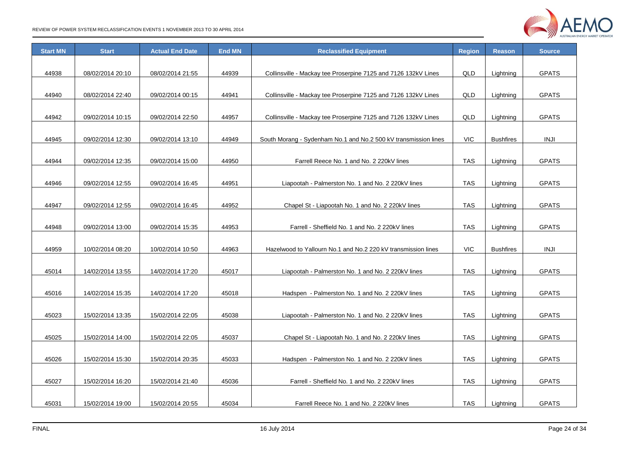

| <b>Start MN</b> | <b>Start</b>     | <b>Actual End Date</b> | <b>End MN</b> | <b>Reclassified Equipment</b>                                   | <b>Region</b> | <b>Reason</b>    | <b>Source</b> |
|-----------------|------------------|------------------------|---------------|-----------------------------------------------------------------|---------------|------------------|---------------|
|                 |                  |                        |               |                                                                 |               |                  |               |
| 44938           | 08/02/2014 20:10 | 08/02/2014 21:55       | 44939         | Collinsville - Mackay tee Proserpine 7125 and 7126 132kV Lines  | QLD           | Lightning        | <b>GPATS</b>  |
|                 |                  |                        |               |                                                                 |               |                  |               |
| 44940           | 08/02/2014 22:40 | 09/02/2014 00:15       | 44941         | Collinsville - Mackay tee Proserpine 7125 and 7126 132kV Lines  | QLD           | Lightning        | <b>GPATS</b>  |
|                 |                  |                        |               |                                                                 |               |                  |               |
| 44942           | 09/02/2014 10:15 | 09/02/2014 22:50       | 44957         | Collinsville - Mackay tee Proserpine 7125 and 7126 132kV Lines  | QLD           | Lightning        | <b>GPATS</b>  |
|                 |                  |                        |               |                                                                 |               |                  |               |
| 44945           | 09/02/2014 12:30 | 09/02/2014 13:10       | 44949         | South Morang - Sydenham No.1 and No.2 500 kV transmission lines | <b>VIC</b>    | <b>Bushfires</b> | <b>INJI</b>   |
|                 |                  |                        |               |                                                                 |               |                  |               |
| 44944           | 09/02/2014 12:35 | 09/02/2014 15:00       | 44950         | Farrell Reece No. 1 and No. 2 220kV lines                       | <b>TAS</b>    | Lightning        | <b>GPATS</b>  |
|                 |                  |                        |               |                                                                 |               |                  |               |
| 44946           | 09/02/2014 12:55 | 09/02/2014 16:45       | 44951         | Liapootah - Palmerston No. 1 and No. 2 220kV lines              | <b>TAS</b>    | Lightning        | <b>GPATS</b>  |
|                 |                  |                        |               |                                                                 |               |                  |               |
| 44947           | 09/02/2014 12:55 | 09/02/2014 16:45       | 44952         | Chapel St - Liapootah No. 1 and No. 2 220kV lines               | TAS           | Lightning        | <b>GPATS</b>  |
|                 |                  |                        |               |                                                                 |               |                  |               |
| 44948           | 09/02/2014 13:00 | 09/02/2014 15:35       | 44953         | Farrell - Sheffield No. 1 and No. 2 220kV lines                 | <b>TAS</b>    | Lightning        | <b>GPATS</b>  |
|                 |                  |                        |               |                                                                 |               |                  |               |
| 44959           | 10/02/2014 08:20 | 10/02/2014 10:50       | 44963         | Hazelwood to Yallourn No.1 and No.2 220 kV transmission lines   | <b>VIC</b>    | <b>Bushfires</b> | <b>INJI</b>   |
|                 |                  |                        |               |                                                                 |               |                  |               |
| 45014           | 14/02/2014 13:55 | 14/02/2014 17:20       | 45017         | Liapootah - Palmerston No. 1 and No. 2 220kV lines              | TAS           | Lightning        | <b>GPATS</b>  |
|                 |                  |                        |               |                                                                 |               |                  |               |
| 45016           | 14/02/2014 15:35 | 14/02/2014 17:20       | 45018         | Hadspen - Palmerston No. 1 and No. 2 220kV lines                | <b>TAS</b>    | Lightning        | <b>GPATS</b>  |
|                 |                  |                        |               |                                                                 |               |                  |               |
| 45023           | 15/02/2014 13:35 | 15/02/2014 22:05       | 45038         | Liapootah - Palmerston No. 1 and No. 2 220kV lines              | <b>TAS</b>    | Lightning        | <b>GPATS</b>  |
|                 |                  |                        |               |                                                                 |               |                  |               |
| 45025           | 15/02/2014 14:00 | 15/02/2014 22:05       | 45037         | Chapel St - Liapootah No. 1 and No. 2 220kV lines               | <b>TAS</b>    | Lightning        | <b>GPATS</b>  |
|                 |                  |                        |               |                                                                 |               |                  |               |
| 45026           | 15/02/2014 15:30 | 15/02/2014 20:35       | 45033         | Hadspen - Palmerston No. 1 and No. 2 220kV lines                | <b>TAS</b>    | Lightning        | <b>GPATS</b>  |
|                 |                  |                        |               |                                                                 |               |                  |               |
| 45027           | 15/02/2014 16:20 | 15/02/2014 21:40       | 45036         | Farrell - Sheffield No. 1 and No. 2 220kV lines                 | TAS           | Lightning        | <b>GPATS</b>  |
|                 |                  |                        |               |                                                                 |               |                  |               |
| 45031           | 15/02/2014 19:00 | 15/02/2014 20:55       | 45034         | Farrell Reece No. 1 and No. 2 220kV lines                       | <b>TAS</b>    | Lightning        | <b>GPATS</b>  |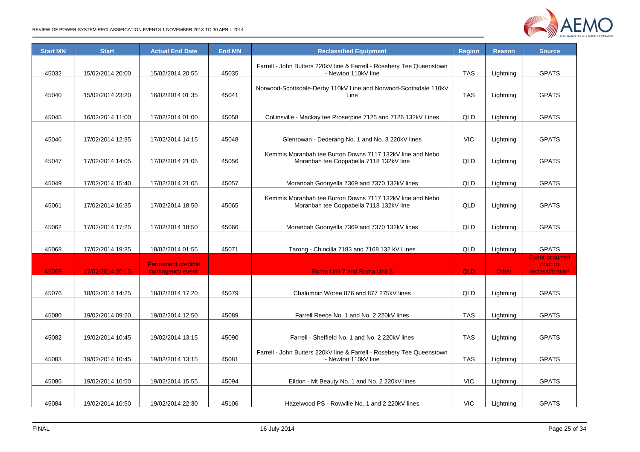

| <b>Start MN</b> | <b>Start</b>     | <b>Actual End Date</b>                         | <b>End MN</b> | <b>Reclassified Equipment</b>                                                                        | <b>Region</b> | <b>Reason</b> | <b>Source</b>                                         |
|-----------------|------------------|------------------------------------------------|---------------|------------------------------------------------------------------------------------------------------|---------------|---------------|-------------------------------------------------------|
| 45032           | 15/02/2014 20:00 | 15/02/2014 20:55                               | 45035         | Farrell - John Butters 220kV line & Farrell - Rosebery Tee Queenstown<br>- Newton 110kV line         | <b>TAS</b>    | Lightning     | <b>GPATS</b>                                          |
| 45040           | 15/02/2014 23:20 | 16/02/2014 01:35                               | 45041         | Norwood-Scottsdale-Derby 110kV Line and Norwood-Scottsdale 110kV<br>Line                             | <b>TAS</b>    | Lightning     | <b>GPATS</b>                                          |
| 45045           | 16/02/2014 11:00 | 17/02/2014 01:00                               | 45058         | Collinsville - Mackay tee Proserpine 7125 and 7126 132kV Lines                                       | QLD           | Lightning     | <b>GPATS</b>                                          |
| 45046           | 17/02/2014 12:35 | 17/02/2014 14:15                               | 45048         | Glenrowan - Dederang No. 1 and No. 3 220kV lines                                                     | <b>VIC</b>    | Lightning     | <b>GPATS</b>                                          |
| 45047           | 17/02/2014 14:05 | 17/02/2014 21:05                               | 45056         | Kemmis Moranbah tee Burton Downs 7117 132kV line and Nebo<br>Moranbah tee Coppabella 7118 132kV line | QLD           | Lightning     | <b>GPATS</b>                                          |
| 45049           | 17/02/2014 15:40 | 17/02/2014 21:05                               | 45057         | Moranbah Goonyella 7369 and 7370 132kV lines                                                         | QLD           | Lightning     | <b>GPATS</b>                                          |
| 45061           | 17/02/2014 16:35 | 17/02/2014 18:50                               | 45065         | Kemmis Moranbah tee Burton Downs 7117 132kV line and Nebo<br>Moranbah tee Coppabella 7118 132kV line | QLD           | Lightning     | <b>GPATS</b>                                          |
| 45062           | 17/02/2014 17:25 | 17/02/2014 18:50                               | 45066         | Moranbah Goonyella 7369 and 7370 132kV lines                                                         | QLD           | Lightning     | <b>GPATS</b>                                          |
| 45068           | 17/02/2014 19:35 | 18/02/2014 01:55                               | 45071         | Tarong - Chincilla 7183 and 7168 132 kV Lines                                                        | QLD           | Lightning     | <b>GPATS</b>                                          |
| 45069           | 17/02/2014 20:15 | <b>Permanent credible</b><br>contingency event |               | <b>Roma Unit 7 and Roma Unit 8</b>                                                                   | <b>QLD</b>    | Other         | <b>Event occurred</b><br>prior to<br>reclassification |
| 45076           | 18/02/2014 14:25 | 18/02/2014 17:20                               | 45079         | Chalumbin Woree 876 and 877 275kV lines                                                              | QLD           | Lightning     | <b>GPATS</b>                                          |
| 45080           | 19/02/2014 09:20 | 19/02/2014 12:50                               | 45089         | Farrell Reece No. 1 and No. 2 220kV lines                                                            | <b>TAS</b>    | Lightning     | <b>GPATS</b>                                          |
| 45082           | 19/02/2014 10:45 | 19/02/2014 13:15                               | 45090         | Farrell - Sheffield No. 1 and No. 2 220kV lines                                                      | <b>TAS</b>    | Lightning     | <b>GPATS</b>                                          |
| 45083           | 19/02/2014 10:45 | 19/02/2014 13:15                               | 45081         | Farrell - John Butters 220kV line & Farrell - Rosebery Tee Queenstown<br>- Newton 110kV line         | <b>TAS</b>    | Lightning     | <b>GPATS</b>                                          |
| 45086           | 19/02/2014 10:50 | 19/02/2014 15:55                               | 45094         | Eildon - Mt Beauty No. 1 and No. 2 220kV lines                                                       | <b>VIC</b>    | Lightning     | <b>GPATS</b>                                          |
| 45084           | 19/02/2014 10:50 | 19/02/2014 22:30                               | 45106         | Hazelwood PS - Rowville No. 1 and 2 220kV lines                                                      | <b>VIC</b>    | Lightning     | <b>GPATS</b>                                          |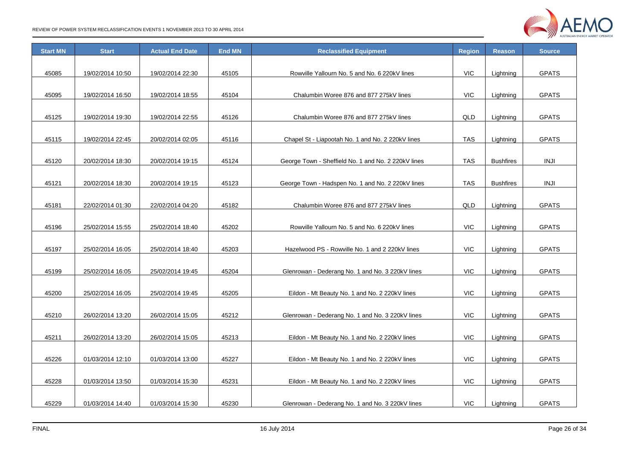

| <b>Start MN</b> | <b>Start</b>     | <b>Actual End Date</b> | <b>End MN</b> | <b>Reclassified Equipment</b>                       | <b>Region</b> | <b>Reason</b>    | <b>Source</b> |
|-----------------|------------------|------------------------|---------------|-----------------------------------------------------|---------------|------------------|---------------|
|                 |                  |                        |               |                                                     |               |                  |               |
| 45085           | 19/02/2014 10:50 | 19/02/2014 22:30       | 45105         | Rowville Yallourn No. 5 and No. 6 220kV lines       | <b>VIC</b>    | Lightning        | <b>GPATS</b>  |
|                 |                  |                        |               |                                                     |               |                  |               |
| 45095           | 19/02/2014 16:50 | 19/02/2014 18:55       | 45104         | Chalumbin Woree 876 and 877 275kV lines             | <b>VIC</b>    | Lightning        | <b>GPATS</b>  |
|                 |                  |                        |               |                                                     |               |                  |               |
| 45125           | 19/02/2014 19:30 | 19/02/2014 22:55       | 45126         | Chalumbin Woree 876 and 877 275kV lines             | QLD           | Lightning        | <b>GPATS</b>  |
|                 |                  |                        |               |                                                     |               |                  |               |
| 45115           | 19/02/2014 22:45 | 20/02/2014 02:05       | 45116         | Chapel St - Liapootah No. 1 and No. 2 220kV lines   | <b>TAS</b>    | Lightning        | <b>GPATS</b>  |
|                 |                  |                        |               |                                                     |               |                  |               |
| 45120           | 20/02/2014 18:30 | 20/02/2014 19:15       | 45124         | George Town - Sheffield No. 1 and No. 2 220kV lines | <b>TAS</b>    | <b>Bushfires</b> | <b>INJI</b>   |
|                 |                  |                        |               |                                                     |               |                  |               |
| 45121           | 20/02/2014 18:30 | 20/02/2014 19:15       | 45123         | George Town - Hadspen No. 1 and No. 2 220kV lines   | <b>TAS</b>    | <b>Bushfires</b> | <b>INJI</b>   |
|                 |                  |                        |               |                                                     |               |                  |               |
| 45181           | 22/02/2014 01:30 | 22/02/2014 04:20       | 45182         | Chalumbin Woree 876 and 877 275kV lines             | QLD           | Lightning        | <b>GPATS</b>  |
|                 |                  |                        |               |                                                     |               |                  |               |
| 45196           | 25/02/2014 15:55 | 25/02/2014 18:40       | 45202         | Rowville Yallourn No. 5 and No. 6 220kV lines       | VIC           | Lightning        | <b>GPATS</b>  |
|                 |                  |                        |               |                                                     |               |                  |               |
| 45197           | 25/02/2014 16:05 | 25/02/2014 18:40       | 45203         | Hazelwood PS - Rowville No. 1 and 2 220kV lines     | <b>VIC</b>    | Lightning        | <b>GPATS</b>  |
|                 |                  |                        |               |                                                     |               |                  |               |
| 45199           | 25/02/2014 16:05 | 25/02/2014 19:45       | 45204         | Glenrowan - Dederang No. 1 and No. 3 220kV lines    | <b>VIC</b>    | Lightning        | <b>GPATS</b>  |
|                 |                  |                        |               |                                                     |               |                  |               |
| 45200           | 25/02/2014 16:05 | 25/02/2014 19:45       | 45205         | Eildon - Mt Beauty No. 1 and No. 2 220kV lines      | <b>VIC</b>    | Lightning        | <b>GPATS</b>  |
|                 |                  |                        |               |                                                     |               |                  |               |
| 45210           | 26/02/2014 13:20 | 26/02/2014 15:05       | 45212         | Glenrowan - Dederang No. 1 and No. 3 220kV lines    | <b>VIC</b>    | Lightning        | <b>GPATS</b>  |
|                 |                  |                        |               |                                                     |               |                  |               |
| 45211           | 26/02/2014 13:20 | 26/02/2014 15:05       | 45213         | Eildon - Mt Beauty No. 1 and No. 2 220kV lines      | <b>VIC</b>    | Lightning        | <b>GPATS</b>  |
|                 |                  |                        |               |                                                     |               |                  |               |
| 45226           | 01/03/2014 12:10 | 01/03/2014 13:00       | 45227         | Eildon - Mt Beauty No. 1 and No. 2 220kV lines      | <b>VIC</b>    | Lightning        | <b>GPATS</b>  |
|                 |                  |                        |               |                                                     |               |                  |               |
| 45228           | 01/03/2014 13:50 | 01/03/2014 15:30       | 45231         | Eildon - Mt Beauty No. 1 and No. 2 220kV lines      | <b>VIC</b>    | Lightning        | <b>GPATS</b>  |
|                 |                  |                        |               |                                                     |               |                  |               |
| 45229           | 01/03/2014 14:40 | 01/03/2014 15:30       | 45230         | Glenrowan - Dederang No. 1 and No. 3 220kV lines    | <b>VIC</b>    | Lightning        | <b>GPATS</b>  |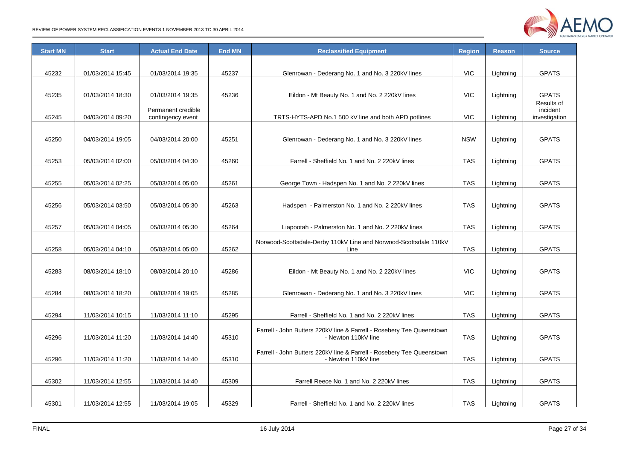

| <b>Start MN</b> | <b>Start</b>     | <b>Actual End Date</b> | <b>End MN</b> | <b>Reclassified Equipment</b>                                         | <b>Region</b> | <b>Reason</b> | <b>Source</b>          |
|-----------------|------------------|------------------------|---------------|-----------------------------------------------------------------------|---------------|---------------|------------------------|
|                 |                  |                        |               |                                                                       |               |               |                        |
| 45232           | 01/03/2014 15:45 | 01/03/2014 19:35       | 45237         | Glenrowan - Dederang No. 1 and No. 3 220kV lines                      | <b>VIC</b>    | Lightning     | <b>GPATS</b>           |
|                 |                  |                        |               |                                                                       |               |               |                        |
| 45235           | 01/03/2014 18:30 | 01/03/2014 19:35       | 45236         | Eildon - Mt Beauty No. 1 and No. 2 220kV lines                        | <b>VIC</b>    | Lightning     | <b>GPATS</b>           |
|                 |                  | Permanent credible     |               |                                                                       |               |               | Results of<br>incident |
| 45245           | 04/03/2014 09:20 | contingency event      |               | TRTS-HYTS-APD No.1 500 kV line and both APD potlines                  | <b>VIC</b>    | Lightning     | investigation          |
|                 |                  |                        |               |                                                                       |               |               |                        |
| 45250           | 04/03/2014 19:05 | 04/03/2014 20:00       | 45251         | Glenrowan - Dederang No. 1 and No. 3 220kV lines                      | <b>NSW</b>    | Lightning     | <b>GPATS</b>           |
|                 |                  |                        |               |                                                                       |               |               |                        |
| 45253           | 05/03/2014 02:00 | 05/03/2014 04:30       | 45260         | Farrell - Sheffield No. 1 and No. 2 220kV lines                       | <b>TAS</b>    | Lightning     | <b>GPATS</b>           |
|                 |                  |                        |               |                                                                       |               |               |                        |
| 45255           | 05/03/2014 02:25 | 05/03/2014 05:00       | 45261         | George Town - Hadspen No. 1 and No. 2 220kV lines                     | <b>TAS</b>    | Lightning     | <b>GPATS</b>           |
|                 |                  |                        |               |                                                                       |               |               |                        |
| 45256           | 05/03/2014 03:50 | 05/03/2014 05:30       | 45263         | Hadspen - Palmerston No. 1 and No. 2 220kV lines                      | <b>TAS</b>    | Lightning     | <b>GPATS</b>           |
|                 |                  |                        |               |                                                                       |               |               |                        |
| 45257           | 05/03/2014 04:05 | 05/03/2014 05:30       | 45264         | Liapootah - Palmerston No. 1 and No. 2 220kV lines                    | <b>TAS</b>    | Lightning     | <b>GPATS</b>           |
|                 |                  |                        |               | Norwood-Scottsdale-Derby 110kV Line and Norwood-Scottsdale 110kV      |               |               |                        |
| 45258           | 05/03/2014 04:10 | 05/03/2014 05:00       | 45262         | Line                                                                  | <b>TAS</b>    | Lightning     | <b>GPATS</b>           |
|                 |                  |                        |               |                                                                       |               |               |                        |
| 45283           | 08/03/2014 18:10 | 08/03/2014 20:10       | 45286         | Eildon - Mt Beauty No. 1 and No. 2 220kV lines                        | <b>VIC</b>    | Lightning     | <b>GPATS</b>           |
|                 |                  |                        |               |                                                                       |               |               |                        |
| 45284           | 08/03/2014 18:20 | 08/03/2014 19:05       | 45285         | Glenrowan - Dederang No. 1 and No. 3 220kV lines                      | <b>VIC</b>    | Lightning     | <b>GPATS</b>           |
|                 |                  |                        |               |                                                                       |               |               |                        |
| 45294           | 11/03/2014 10:15 | 11/03/2014 11:10       | 45295         | Farrell - Sheffield No. 1 and No. 2 220kV lines                       | <b>TAS</b>    | Lightning     | <b>GPATS</b>           |
|                 |                  |                        |               | Farrell - John Butters 220kV line & Farrell - Rosebery Tee Queenstown |               |               |                        |
| 45296           | 11/03/2014 11:20 | 11/03/2014 14:40       | 45310         | - Newton 110kV line                                                   | <b>TAS</b>    | Lightning     | <b>GPATS</b>           |
|                 |                  |                        |               | Farrell - John Butters 220kV line & Farrell - Rosebery Tee Queenstown |               |               |                        |
| 45296           | 11/03/2014 11:20 | 11/03/2014 14:40       | 45310         | - Newton 110kV line                                                   | <b>TAS</b>    | Lightning     | <b>GPATS</b>           |
|                 |                  |                        |               |                                                                       |               |               |                        |
| 45302           | 11/03/2014 12:55 | 11/03/2014 14:40       | 45309         | Farrell Reece No. 1 and No. 2 220kV lines                             | <b>TAS</b>    | Lightning     | <b>GPATS</b>           |
|                 |                  |                        |               |                                                                       |               |               |                        |
| 45301           | 11/03/2014 12:55 | 11/03/2014 19:05       | 45329         | Farrell - Sheffield No. 1 and No. 2 220kV lines                       | <b>TAS</b>    | Lightning     | <b>GPATS</b>           |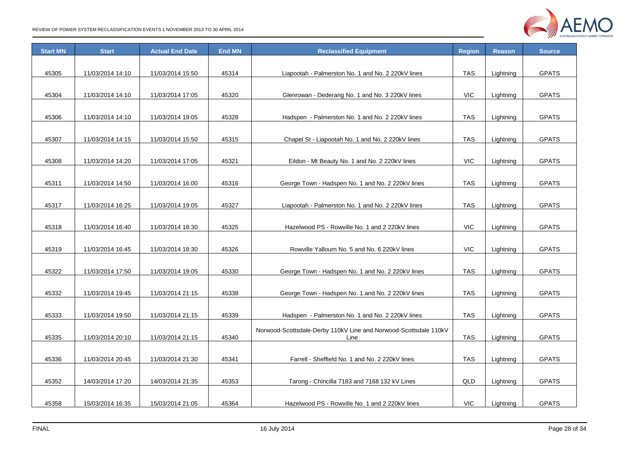

| <b>Start MN</b> | <b>Start</b>     | <b>Actual End Date</b> | <b>End MN</b> | <b>Reclassified Equipment</b>                                    | Region     | <b>Reason</b> | <b>Source</b> |
|-----------------|------------------|------------------------|---------------|------------------------------------------------------------------|------------|---------------|---------------|
|                 |                  |                        |               |                                                                  |            |               |               |
| 45305           | 11/03/2014 14:10 | 11/03/2014 15:50       | 45314         | Liapootah - Palmerston No. 1 and No. 2 220kV lines               | <b>TAS</b> | Lightning     | <b>GPATS</b>  |
|                 |                  |                        |               |                                                                  |            |               |               |
| 45304           | 11/03/2014 14:10 | 11/03/2014 17:05       | 45320         | Glenrowan - Dederang No. 1 and No. 3 220kV lines                 | <b>VIC</b> | Lightning     | <b>GPATS</b>  |
|                 |                  |                        |               |                                                                  |            |               |               |
| 45306           | 11/03/2014 14:10 | 11/03/2014 19:05       | 45328         | Hadspen - Palmerston No. 1 and No. 2 220kV lines                 | <b>TAS</b> | Lightning     | <b>GPATS</b>  |
|                 |                  |                        |               |                                                                  |            |               |               |
| 45307           | 11/03/2014 14:15 | 11/03/2014 15:50       | 45315         | Chapel St - Liapootah No. 1 and No. 2 220kV lines                | <b>TAS</b> | Lightning     | <b>GPATS</b>  |
|                 |                  |                        |               |                                                                  |            |               |               |
| 45308           | 11/03/2014 14:20 | 11/03/2014 17:05       | 45321         | Eildon - Mt Beauty No. 1 and No. 2 220kV lines                   | <b>VIC</b> | Lightning     | <b>GPATS</b>  |
|                 |                  |                        |               |                                                                  |            |               |               |
| 45311           | 11/03/2014 14:50 | 11/03/2014 16:00       | 45316         | George Town - Hadspen No. 1 and No. 2 220kV lines                | <b>TAS</b> | Lightning     | <b>GPATS</b>  |
|                 |                  |                        |               |                                                                  |            |               |               |
| 45317           | 11/03/2014 16:25 | 11/03/2014 19:05       | 45327         | Liapootah - Palmerston No. 1 and No. 2 220kV lines               | <b>TAS</b> | Lightning     | <b>GPATS</b>  |
|                 |                  |                        |               |                                                                  |            |               |               |
| 45318           | 11/03/2014 16:40 | 11/03/2014 18:30       | 45325         | Hazelwood PS - Rowville No. 1 and 2 220kV lines                  | VIC        | Lightning     | <b>GPATS</b>  |
|                 |                  |                        |               |                                                                  |            |               |               |
| 45319           | 11/03/2014 16:45 | 11/03/2014 18:30       | 45326         | Rowville Yallourn No. 5 and No. 6 220kV lines                    | <b>VIC</b> | Lightning     | <b>GPATS</b>  |
|                 |                  |                        |               |                                                                  |            |               |               |
| 45322           | 11/03/2014 17:50 | 11/03/2014 19:05       | 45330         | George Town - Hadspen No. 1 and No. 2 220kV lines                | <b>TAS</b> | Lightning     | <b>GPATS</b>  |
|                 |                  |                        |               |                                                                  |            |               |               |
| 45332           | 11/03/2014 19:45 | 11/03/2014 21:15       | 45338         | George Town - Hadspen No. 1 and No. 2 220kV lines                | <b>TAS</b> | Lightning     | <b>GPATS</b>  |
|                 |                  |                        |               |                                                                  |            |               |               |
| 45333           | 11/03/2014 19:50 | 11/03/2014 21:15       | 45339         | Hadspen - Palmerston No. 1 and No. 2 220kV lines                 | TAS        | Lightning     | <b>GPATS</b>  |
|                 |                  |                        |               | Norwood-Scottsdale-Derby 110kV Line and Norwood-Scottsdale 110kV |            |               |               |
| 45335           | 11/03/2014 20:10 | 11/03/2014 21:15       | 45340         | Line                                                             | <b>TAS</b> | Lightning     | <b>GPATS</b>  |
|                 |                  |                        |               |                                                                  |            |               |               |
| 45336           | 11/03/2014 20:45 | 11/03/2014 21:30       | 45341         | Farrell - Sheffield No. 1 and No. 2 220kV lines                  | <b>TAS</b> | Lightning     | <b>GPATS</b>  |
|                 |                  |                        |               |                                                                  |            |               |               |
| 45352           | 14/03/2014 17:20 | 14/03/2014 21:35       | 45353         | Tarong - Chincilla 7183 and 7168 132 kV Lines                    | QLD        | Lightning     | <b>GPATS</b>  |
|                 |                  |                        |               |                                                                  |            |               |               |
| 45358           | 15/03/2014 16:35 | 15/03/2014 21:05       | 45364         | Hazelwood PS - Rowville No. 1 and 2 220kV lines                  | <b>VIC</b> | Lightning     | <b>GPATS</b>  |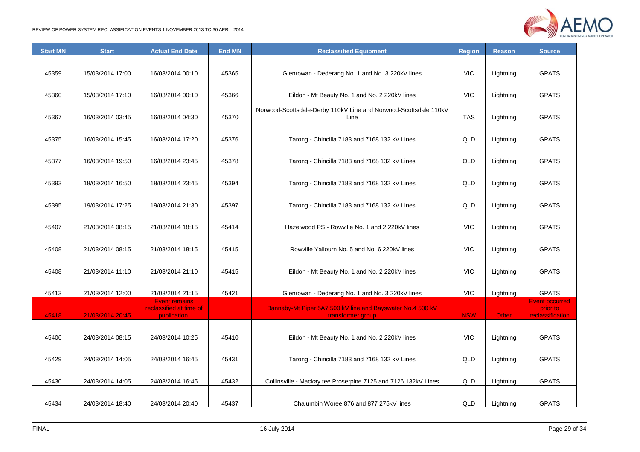

| <b>Start MN</b> | <b>Start</b>     | <b>Actual End Date</b>                          | <b>End MN</b> | <b>Reclassified Equipment</b>                                    |            | <b>Reason</b> | <b>Source</b>                     |
|-----------------|------------------|-------------------------------------------------|---------------|------------------------------------------------------------------|------------|---------------|-----------------------------------|
|                 |                  |                                                 |               |                                                                  |            |               |                                   |
| 45359           | 15/03/2014 17:00 | 16/03/2014 00:10                                | 45365         | Glenrowan - Dederang No. 1 and No. 3 220kV lines                 | <b>VIC</b> | Lightning     | <b>GPATS</b>                      |
|                 |                  |                                                 |               |                                                                  |            |               |                                   |
| 45360           | 15/03/2014 17:10 | 16/03/2014 00:10                                | 45366         | Eildon - Mt Beauty No. 1 and No. 2 220kV lines                   | <b>VIC</b> | Lightning     | <b>GPATS</b>                      |
|                 |                  |                                                 |               | Norwood-Scottsdale-Derby 110kV Line and Norwood-Scottsdale 110kV |            |               |                                   |
| 45367           | 16/03/2014 03:45 | 16/03/2014 04:30                                | 45370         | Line                                                             | <b>TAS</b> | Lightning     | <b>GPATS</b>                      |
|                 |                  |                                                 |               |                                                                  |            |               |                                   |
| 45375           | 16/03/2014 15:45 | 16/03/2014 17:20                                | 45376         | Tarong - Chincilla 7183 and 7168 132 kV Lines                    | QLD        | Lightning     | <b>GPATS</b>                      |
|                 |                  |                                                 |               |                                                                  |            |               |                                   |
| 45377           | 16/03/2014 19:50 | 16/03/2014 23:45                                | 45378         | Tarong - Chincilla 7183 and 7168 132 kV Lines                    | QLD        | Lightning     | <b>GPATS</b>                      |
|                 |                  |                                                 |               |                                                                  |            |               |                                   |
| 45393           | 18/03/2014 16:50 | 18/03/2014 23:45                                | 45394         | Tarong - Chincilla 7183 and 7168 132 kV Lines                    | QLD        | Lightning     | <b>GPATS</b>                      |
|                 |                  |                                                 |               |                                                                  |            |               |                                   |
| 45395           | 19/03/2014 17:25 | 19/03/2014 21:30                                | 45397         | Tarong - Chincilla 7183 and 7168 132 kV Lines                    | QLD        | Lightning     | <b>GPATS</b>                      |
|                 |                  |                                                 |               |                                                                  |            |               |                                   |
| 45407           | 21/03/2014 08:15 | 21/03/2014 18:15                                | 45414         | Hazelwood PS - Rowville No. 1 and 2 220kV lines                  | <b>VIC</b> | Lightning     | <b>GPATS</b>                      |
|                 |                  |                                                 |               |                                                                  |            |               |                                   |
| 45408           | 21/03/2014 08:15 | 21/03/2014 18:15                                | 45415         | Rowville Yallourn No. 5 and No. 6 220kV lines                    | <b>VIC</b> | Lightning     | <b>GPATS</b>                      |
|                 |                  |                                                 |               |                                                                  |            |               |                                   |
| 45408           | 21/03/2014 11:10 | 21/03/2014 21:10                                | 45415         | Eildon - Mt Beauty No. 1 and No. 2 220kV lines                   | <b>VIC</b> | Lightning     | <b>GPATS</b>                      |
|                 |                  |                                                 |               |                                                                  |            |               |                                   |
| 45413           | 21/03/2014 12:00 | 21/03/2014 21:15                                | 45421         | Glenrowan - Dederang No. 1 and No. 3 220kV lines                 | <b>VIC</b> | Lightning     | <b>GPATS</b>                      |
|                 |                  | <b>Event remains</b><br>reclassified at time of |               | Bannaby-Mt Piper 5A7 500 kV line and Bayswater No.4 500 kV       |            |               | <b>Event occurred</b><br>prior to |
| 45418           | 21/03/2014 20:45 | publication                                     |               | transformer group                                                | <b>NSW</b> | <b>Other</b>  | reclassification                  |
|                 |                  |                                                 |               |                                                                  |            |               |                                   |
| 45406           | 24/03/2014 08:15 | 24/03/2014 10:25                                | 45410         | Eildon - Mt Beauty No. 1 and No. 2 220kV lines                   | <b>VIC</b> | Lightning     | <b>GPATS</b>                      |
|                 |                  |                                                 |               |                                                                  |            |               |                                   |
| 45429           | 24/03/2014 14:05 | 24/03/2014 16:45                                | 45431         | Tarong - Chincilla 7183 and 7168 132 kV Lines                    | QLD        | Lightning     | <b>GPATS</b>                      |
|                 |                  |                                                 |               |                                                                  |            |               |                                   |
| 45430           | 24/03/2014 14:05 | 24/03/2014 16:45                                | 45432         | Collinsville - Mackay tee Proserpine 7125 and 7126 132kV Lines   | QLD        | Lightning     | <b>GPATS</b>                      |
|                 |                  |                                                 |               |                                                                  |            |               |                                   |
| 45434           | 24/03/2014 18:40 | 24/03/2014 20:40                                | 45437         | Chalumbin Woree 876 and 877 275kV lines                          | QLD        | Lightning     | <b>GPATS</b>                      |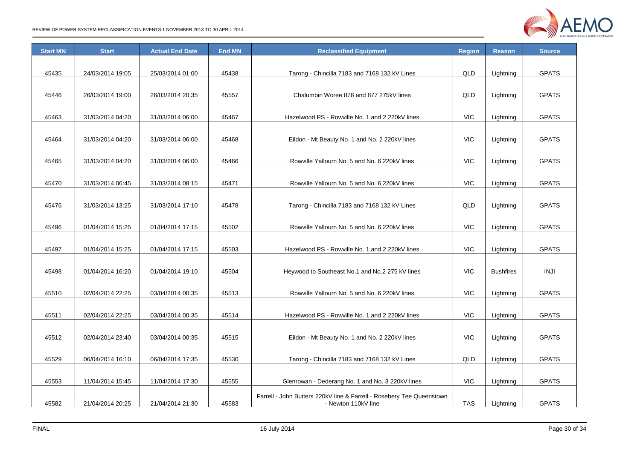

| <b>Start MN</b> | <b>Start</b>     | <b>Actual End Date</b> | <b>End MN</b> | <b>Reclassified Equipment</b>                                                                |            | <b>Reason</b>    | <b>Source</b> |
|-----------------|------------------|------------------------|---------------|----------------------------------------------------------------------------------------------|------------|------------------|---------------|
|                 |                  |                        |               |                                                                                              |            |                  |               |
| 45435           | 24/03/2014 19:05 | 25/03/2014 01:00       | 45438         | Tarong - Chincilla 7183 and 7168 132 kV Lines                                                | QLD        | Lightning        | <b>GPATS</b>  |
|                 |                  |                        |               |                                                                                              |            |                  |               |
| 45446           | 26/03/2014 19:00 | 26/03/2014 20:35       | 45557         | Chalumbin Woree 876 and 877 275kV lines                                                      | QLD        | Lightning        | <b>GPATS</b>  |
|                 |                  |                        |               |                                                                                              |            |                  |               |
| 45463           | 31/03/2014 04:20 | 31/03/2014 06:00       | 45467         | Hazelwood PS - Rowville No. 1 and 2 220kV lines                                              | <b>VIC</b> | Lightning        | <b>GPATS</b>  |
|                 |                  |                        |               |                                                                                              |            |                  |               |
| 45464           | 31/03/2014 04:20 | 31/03/2014 06:00       | 45468         | Eildon - Mt Beauty No. 1 and No. 2 220kV lines                                               | <b>VIC</b> | Lightning        | <b>GPATS</b>  |
|                 |                  |                        |               |                                                                                              |            |                  |               |
| 45465           | 31/03/2014 04:20 | 31/03/2014 06:00       | 45466         | Rowville Yallourn No. 5 and No. 6 220kV lines                                                | <b>VIC</b> | Lightning        | <b>GPATS</b>  |
|                 |                  |                        |               |                                                                                              |            |                  |               |
| 45470           | 31/03/2014 06:45 | 31/03/2014 08:15       | 45471         | Rowville Yallourn No. 5 and No. 6 220kV lines                                                | VIC        | Lightning        | <b>GPATS</b>  |
|                 |                  |                        |               |                                                                                              |            |                  |               |
| 45476           | 31/03/2014 13:25 | 31/03/2014 17:10       | 45478         | Tarong - Chincilla 7183 and 7168 132 kV Lines                                                | QLD        | Lightning        | <b>GPATS</b>  |
|                 |                  |                        |               |                                                                                              |            |                  |               |
| 45496           | 01/04/2014 15:25 | 01/04/2014 17:15       | 45502         | Rowville Yallourn No. 5 and No. 6 220kV lines                                                | VIC        | Lightning        | <b>GPATS</b>  |
|                 |                  |                        |               |                                                                                              |            |                  |               |
| 45497           | 01/04/2014 15:25 | 01/04/2014 17:15       | 45503         | Hazelwood PS - Rowville No. 1 and 2 220kV lines                                              | <b>VIC</b> | Lightning        | <b>GPATS</b>  |
|                 |                  |                        |               |                                                                                              |            |                  |               |
| 45498           | 01/04/2014 16:20 | 01/04/2014 19:10       | 45504         | Heywood to Southeast No.1 and No.2 275 kV lines                                              | <b>VIC</b> | <b>Bushfires</b> | INJI          |
|                 |                  |                        |               |                                                                                              |            |                  |               |
| 45510           | 02/04/2014 22:25 | 03/04/2014 00:35       | 45513         | Rowville Yallourn No. 5 and No. 6 220kV lines                                                | <b>VIC</b> | Lightning        | <b>GPATS</b>  |
|                 |                  |                        |               |                                                                                              |            |                  |               |
| 45511           | 02/04/2014 22:25 | 03/04/2014 00:35       | 45514         | Hazelwood PS - Rowville No. 1 and 2 220kV lines                                              | <b>VIC</b> | Lightning        | <b>GPATS</b>  |
|                 |                  |                        |               |                                                                                              |            |                  |               |
| 45512           | 02/04/2014 23:40 | 03/04/2014 00:35       | 45515         | Eildon - Mt Beauty No. 1 and No. 2 220kV lines                                               | <b>VIC</b> | Lightning        | <b>GPATS</b>  |
|                 |                  |                        |               |                                                                                              |            |                  |               |
| 45529           | 06/04/2014 16:10 | 06/04/2014 17:35       | 45530         | Tarong - Chincilla 7183 and 7168 132 kV Lines                                                | QLD        | Lightning        | <b>GPATS</b>  |
|                 |                  |                        |               |                                                                                              |            |                  |               |
| 45553           | 11/04/2014 15:45 | 11/04/2014 17:30       | 45555         | Glenrowan - Dederang No. 1 and No. 3 220kV lines                                             | <b>VIC</b> | Lightning        | <b>GPATS</b>  |
|                 |                  |                        |               |                                                                                              |            |                  |               |
| 45582           | 21/04/2014 20:25 | 21/04/2014 21:30       | 45583         | Farrell - John Butters 220kV line & Farrell - Rosebery Tee Queenstown<br>- Newton 110kV line | <b>TAS</b> | Lightning        | <b>GPATS</b>  |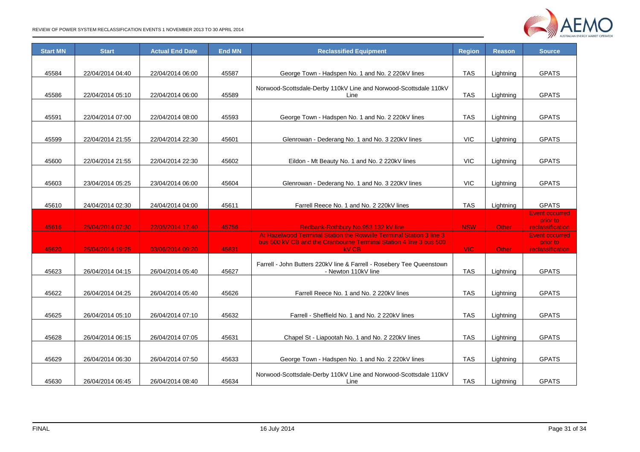

| <b>Start MN</b> | <b>Start</b>     | <b>Actual End Date</b> | <b>End MN</b> | <b>Reclassified Equipment</b>                                                                |            | <b>Reason</b> | <b>Source</b>                     |
|-----------------|------------------|------------------------|---------------|----------------------------------------------------------------------------------------------|------------|---------------|-----------------------------------|
|                 |                  |                        |               |                                                                                              |            |               |                                   |
| 45584           | 22/04/2014 04:40 | 22/04/2014 06:00       | 45587         | George Town - Hadspen No. 1 and No. 2 220kV lines                                            | <b>TAS</b> | Lightning     | <b>GPATS</b>                      |
|                 |                  |                        |               |                                                                                              |            |               |                                   |
| 45586           | 22/04/2014 05:10 | 22/04/2014 06:00       | 45589         | Norwood-Scottsdale-Derby 110kV Line and Norwood-Scottsdale 110kV<br>Line                     | TAS        | Lightning     | <b>GPATS</b>                      |
|                 |                  |                        |               |                                                                                              |            |               |                                   |
| 45591           | 22/04/2014 07:00 | 22/04/2014 08:00       | 45593         | George Town - Hadspen No. 1 and No. 2 220kV lines                                            | <b>TAS</b> | Lightning     | <b>GPATS</b>                      |
|                 |                  |                        |               |                                                                                              |            |               |                                   |
|                 |                  |                        |               |                                                                                              |            |               |                                   |
| 45599           | 22/04/2014 21:55 | 22/04/2014 22:30       | 45601         | Glenrowan - Dederang No. 1 and No. 3 220kV lines                                             | <b>VIC</b> | Lightning     | <b>GPATS</b>                      |
|                 |                  |                        |               |                                                                                              |            |               |                                   |
| 45600           | 22/04/2014 21:55 | 22/04/2014 22:30       | 45602         | Eildon - Mt Beauty No. 1 and No. 2 220kV lines                                               | <b>VIC</b> | Lightning     | <b>GPATS</b>                      |
|                 |                  |                        |               |                                                                                              |            |               |                                   |
| 45603           | 23/04/2014 05:25 | 23/04/2014 06:00       | 45604         | Glenrowan - Dederang No. 1 and No. 3 220kV lines                                             | <b>VIC</b> | Lightning     | <b>GPATS</b>                      |
|                 |                  |                        |               |                                                                                              |            |               |                                   |
| 45610           | 24/04/2014 02:30 | 24/04/2014 04:00       | 45611         | Farrell Reece No. 1 and No. 2 220kV lines                                                    | <b>TAS</b> | Lightning     | <b>GPATS</b>                      |
|                 |                  |                        |               |                                                                                              |            |               | <b>Event occurred</b><br>prior to |
| 45616           | 25/04/2014 07:30 | 22/05/2014 17:40       | 45756         | Redbank-Rothbury No.953 132 kV line                                                          | <b>NSW</b> | Other         | reclassification                  |
|                 |                  |                        |               | At Hazelwood Terminal Station the Rowville Terminal Station 3 line 3                         |            |               | <b>Event occurred</b>             |
| 45620           | 25/04/2014 19:25 | 03/06/2014 09:20       | 45831         | bus 500 kV CB and the Cranbourne Terminal Station 4 line 3 bus 500<br><b>kV CB</b>           | <b>VIC</b> | Other         | prior to<br>reclassification      |
|                 |                  |                        |               |                                                                                              |            |               |                                   |
| 45623           | 26/04/2014 04:15 | 26/04/2014 05:40       | 45627         | Farrell - John Butters 220kV line & Farrell - Rosebery Tee Queenstown<br>- Newton 110kV line | <b>TAS</b> | Lightning     | <b>GPATS</b>                      |
|                 |                  |                        |               |                                                                                              |            |               |                                   |
| 45622           | 26/04/2014 04:25 | 26/04/2014 05:40       | 45626         | Farrell Reece No. 1 and No. 2 220kV lines                                                    | <b>TAS</b> | Lightning     | <b>GPATS</b>                      |
|                 |                  |                        |               |                                                                                              |            |               |                                   |
|                 |                  |                        |               |                                                                                              |            |               |                                   |
| 45625           | 26/04/2014 05:10 | 26/04/2014 07:10       | 45632         | Farrell - Sheffield No. 1 and No. 2 220kV lines                                              | <b>TAS</b> | Lightning     | <b>GPATS</b>                      |
|                 |                  |                        |               |                                                                                              |            |               |                                   |
| 45628           | 26/04/2014 06:15 | 26/04/2014 07:05       | 45631         | Chapel St - Liapootah No. 1 and No. 2 220kV lines                                            | <b>TAS</b> | Lightning     | <b>GPATS</b>                      |
|                 |                  |                        |               |                                                                                              |            |               |                                   |
| 45629           | 26/04/2014 06:30 | 26/04/2014 07:50       | 45633         | George Town - Hadspen No. 1 and No. 2 220kV lines                                            | <b>TAS</b> | Lightning     | <b>GPATS</b>                      |
|                 |                  |                        |               | Norwood-Scottsdale-Derby 110kV Line and Norwood-Scottsdale 110kV                             |            |               |                                   |
| 45630           | 26/04/2014 06:45 | 26/04/2014 08:40       | 45634         | Line                                                                                         | TAS        | Lightning     | <b>GPATS</b>                      |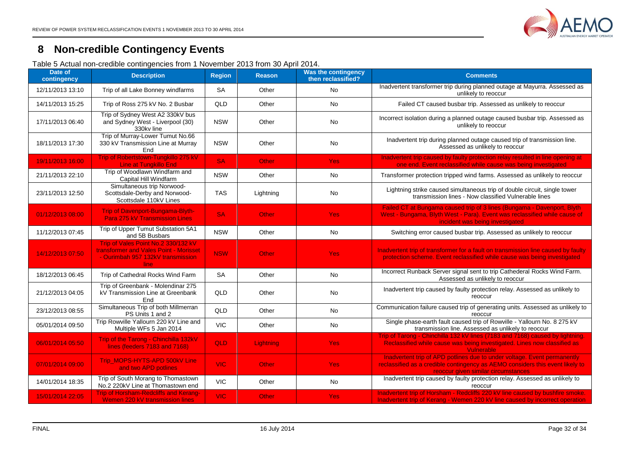

## **8 Non-credible Contingency Events**

Table 5 Actual non-credible contingencies from 1 November 2013 from 30 April 2014.

<span id="page-31-1"></span><span id="page-31-0"></span>

| Date of<br>contingency | <b>Description</b>                                                                                                          | <b>Region</b> | <b>Reason</b> | Was the contingency<br>then reclassified? | <b>Comments</b>                                                                                                                                                                                  |
|------------------------|-----------------------------------------------------------------------------------------------------------------------------|---------------|---------------|-------------------------------------------|--------------------------------------------------------------------------------------------------------------------------------------------------------------------------------------------------|
| 12/11/2013 13:10       | Trip of all Lake Bonney windfarms                                                                                           | <b>SA</b>     | Other         | <b>No</b>                                 | Inadvertent transformer trip during planned outage at Mayurra. Assessed as<br>unlikely to reoccur                                                                                                |
| 14/11/2013 15:25       | Trip of Ross 275 kV No. 2 Busbar                                                                                            | QLD           | Other         | <b>No</b>                                 | Failed CT caused busbar trip. Assessed as unlikely to reoccur                                                                                                                                    |
| 17/11/2013 06:40       | Trip of Sydney West A2 330kV bus<br>and Sydney West - Liverpool (30)<br>330kv line                                          | <b>NSW</b>    | Other         | No                                        | Incorrect isolation during a planned outage caused busbar trip. Assessed as<br>unlikely to reoccur                                                                                               |
| 18/11/2013 17:30       | Trip of Murray-Lower Tumut No.66<br>330 kV Transmission Line at Murray<br>End                                               | <b>NSW</b>    | Other         | No                                        | Inadvertent trip during planned outage caused trip of transmission line.<br>Assessed as unlikely to reoccur                                                                                      |
| 19/11/2013 16:00       | Trip of Robertstown-Tungkillo 275 kV<br><b>Line at Tungkillo End</b>                                                        | <b>SA</b>     | Other         | <b>Yes</b>                                | Inadvertent trip caused by faulty protection relay resulted in line opening at<br>one end. Event reclassified while cause was being investigated                                                 |
| 21/11/2013 22:10       | Trip of Woodlawn Windfarm and<br>Capital Hill Windfarm                                                                      | <b>NSW</b>    | Other         | <b>No</b>                                 | Transformer protection tripped wind farms. Assessed as unlikely to reoccur                                                                                                                       |
| 23/11/2013 12:50       | Simultaneous trip Norwood-<br>Scottsdale-Derby and Norwood-<br>Scottsdale 110kV Lines                                       | <b>TAS</b>    | Lightning     | No                                        | Lightning strike caused simultaneous trip of double circuit, single tower<br>transmission lines - Now classified Vulnerable lines                                                                |
| 01/12/2013 08:00       | Trip of Davenport-Bungama-Blyth-<br><b>Para 275 kV Transmission Lines</b>                                                   | <b>SA</b>     | Other         | <b>Yes</b>                                | Failed CT at Bungama caused trip of 3 lines (Bungama - Davenport, Blyth<br>West - Bungama, Blyth West - Para). Event was reclassified while cause of<br>incident was being investigated          |
| 11/12/2013 07:45       | Trip of Upper Tumut Substation 5A1<br>and 5B Busbars                                                                        | <b>NSW</b>    | Other         | No                                        | Switching error caused busbar trip. Assessed as unlikely to reoccur                                                                                                                              |
| 14/12/2013 07:50       | Trip of Vales Point No.2 330/132 kV<br>transformer and Vales Point - Morisset<br>- Ourimbah 957 132kV transmission<br>line. | <b>NSW</b>    | <b>Other</b>  | <b>Yes</b>                                | Inadvertent trip of transformer for a fault on transmission line caused by faulty<br>protection scheme. Event reclassified while cause was being investigated                                    |
| 18/12/2013 06:45       | Trip of Cathedral Rocks Wind Farm                                                                                           | <b>SA</b>     | Other         | No                                        | Incorrect Runback Server signal sent to trip Cathederal Rocks Wind Farm.<br>Assessed as unlikely to reoccur                                                                                      |
| 21/12/2013 04:05       | Trip of Greenbank - Molendinar 275<br>kV Transmission Line at Greenbank<br><b>Fnd</b>                                       | QLD           | Other         | No                                        | Inadvertent trip caused by faulty protection relay. Assessed as unlikely to<br>reoccur                                                                                                           |
| 23/12/2013 08:55       | Simultaneous Trip of both Millmerran<br>PS Units 1 and 2                                                                    | QLD           | Other         | No                                        | Communication failure caused trip of generating units. Assessed as unlikely to<br>reoccur                                                                                                        |
| 05/01/2014 09:50       | Trip Rowville Yallourn 220 kV Line and<br>Multiple WFs 5 Jan 2014                                                           | <b>VIC</b>    | Other         | No                                        | Single phase-earth fault caused trip of Rowville - Yallourn No. 8 275 kV<br>transmission line. Assessed as unlikely to reoccur                                                                   |
| 06/01/2014 05:50       | Trip of the Tarong - Chinchilla 132kV<br>lines (feeders 7183 and 7168)                                                      | QLD           | Lightning     | <b>Yes</b>                                | Trip of Tarong - Chinchilla 132 kV lines (7183 and 7168) caused by lightning.<br>Reclassified while cause was being investigated. Lines now classified as<br>Vulnerable                          |
| 07/01/2014 09:00       | Trip MOPS-HYTS-APD 500kV Line<br>and two APD potlines                                                                       | <b>VIC</b>    | Other         | <b>Yes</b>                                | Inadvertent trip of APD potlines due to under voltage. Event permanently<br>reclassified as a credible contingency as AEMO considers this event likely to<br>reoccur given similar circumstances |
| 14/01/2014 18:35       | Trip of South Morang to Thomastown<br>No.2 220kV Line at Thomastown end                                                     | <b>VIC</b>    | Other         | No                                        | Inadvertent trip caused by faulty protection relay. Assessed as unlikely to<br>reoccur                                                                                                           |
| 15/01/2014 22:05       | <b>Trip of Horsham-Redcliffs and Kerang-</b><br>Wemen 220 kV transmission lines                                             | <b>VIC</b>    | Other         | <b>Yes</b>                                | Inadvertent trip of Horsham - Redcliffs 220 kV line caused by bushfire smoke.<br>Inadvertent trip of Kerang - Wemen 220 kV line caused by incorrect operation                                    |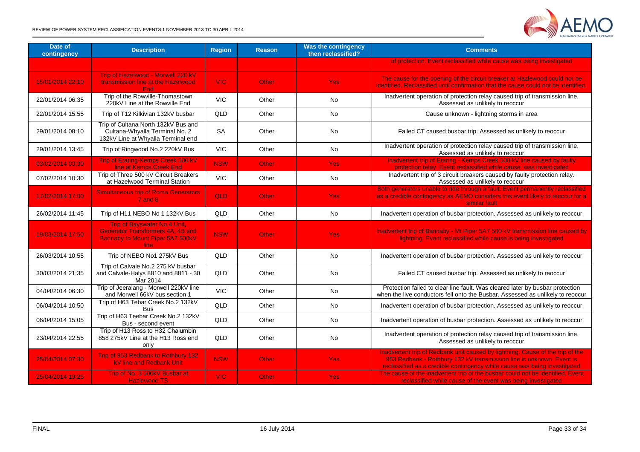

| Date of<br>contingency | <b>Description</b>                                                                                                                 | <b>Region</b> | <b>Reason</b> | <b>Was the contingency</b><br>then reclassified? | <b>Comments</b>                                                                                                                                                                                                                     |
|------------------------|------------------------------------------------------------------------------------------------------------------------------------|---------------|---------------|--------------------------------------------------|-------------------------------------------------------------------------------------------------------------------------------------------------------------------------------------------------------------------------------------|
|                        |                                                                                                                                    |               |               |                                                  | of protection. Event reclassified while cause was being investigated                                                                                                                                                                |
| 15/01/2014 22:10       | Trip of Hazelwood - Morwell 220 kV<br>transmission line at the Hazelwood<br><b>End</b>                                             | VIC:          | <b>Other</b>  | Yes:                                             | The cause for the opening of the circuit breaker at Hazlewood could not be<br>identified. Reclassified until confirmation that the cause could not be identified.                                                                   |
| 22/01/2014 06:35       | Trip of the Rowville-Thomastown<br>220kV Line at the Rowville End                                                                  | <b>VIC</b>    | Other         | No                                               | Inadvertent operation of protection relay caused trip of transmission line.<br>Assessed as unlikely to reoccur                                                                                                                      |
| 22/01/2014 15:55       | Trip of T12 Kilkivian 132kV busbar                                                                                                 | QLD           | Other         | No.                                              | Cause unknown - lightning storms in area                                                                                                                                                                                            |
| 29/01/2014 08:10       | Trip of Cultana North 132kV Bus and<br>Cultana-Whyalla Terminal No. 2<br>132kV Line at Whyalla Terminal end                        | <b>SA</b>     | Other         | No                                               | Failed CT caused busbar trip. Assessed as unlikely to reoccur                                                                                                                                                                       |
| 29/01/2014 13:45       | Trip of Ringwood No.2 220kV Bus                                                                                                    | <b>VIC</b>    | Other         | No                                               | Inadvertent operation of protection relay caused trip of transmission line.<br>Assessed as unlikely to reoccur                                                                                                                      |
| 03/02/2014 00:30       | Trip of Eraring-Kemps Creek 500 kV<br>line at Kemps Creek End                                                                      | <b>NSW</b>    | <b>Other</b>  | <b>Yes</b>                                       | Inadvertent trip of Eraring - Kemps Creek 500 kV line caused by faulty<br>protection relay. Event reclassified while cause was investigated                                                                                         |
| 07/02/2014 10:30       | Trip of Three 500 kV Circuit Breakers<br>at Hazelwood Terminal Station                                                             | <b>VIC</b>    | Other         | No                                               | Inadvertent trip of 3 circuit breakers caused by faulty protection relay.<br>Assessed as unlikely to reoccur                                                                                                                        |
| 17/02/2014 17:00       | <b>Simultaneous trip of Roma Generators</b><br>$7$ and $8$                                                                         | <b>QLD</b>    | <b>Other</b>  | <b>Yes</b>                                       | Both generators unable to ride through a fault. Event permanently reclassified<br>as a credible contingency as AEMO considers this event likely to reoccur for a<br>similar fault                                                   |
| 26/02/2014 11:45       | Trip of H11 NEBO No 1 132kV Bus                                                                                                    | QLD           | Other         | <b>No</b>                                        | Inadvertent operation of busbar protection. Assessed as unlikely to reoccur                                                                                                                                                         |
| 19/03/2014 17:50       | <b>Trip of Bayswater No.4 Unit.</b><br><b>Generator Transformers 4A, 4B and</b><br>Bannaby to Mount Piper 5A7 500kV<br><b>line</b> | <b>NSW</b>    | <b>Other</b>  | <b>Yes</b>                                       | Inadvertent trip of Bannaby - Mt Piper 5A7 500 kV transmission line caused by<br>lightning. Event reclassified while cause is being investigated                                                                                    |
| 26/03/2014 10:55       | Trip of NEBO No1 275kV Bus                                                                                                         | QLD           | Other         | <b>No</b>                                        | Inadvertent operation of busbar protection. Assessed as unlikely to reoccur                                                                                                                                                         |
| 30/03/2014 21:35       | Trip of Calvale No.2 275 kV busbar<br>and Calvale-Halys 8810 and 8811 - 30<br>Mar 2014                                             | QLD           | Other         | No                                               | Failed CT caused busbar trip. Assessed as unlikely to reoccur                                                                                                                                                                       |
| 04/04/2014 06:30       | Trip of Jeeralang - Morwell 220kV line<br>and Morwell 66kV bus section 1                                                           | <b>VIC</b>    | Other         | No                                               | Protection failed to clear line fault. Was cleared later by busbar protection<br>when the live conductors fell onto the Busbar. Assessed as unlikely to reoccur                                                                     |
| 06/04/2014 10:50       | Trip of H63 Tebar Creek No.2 132kV<br><b>Bus</b>                                                                                   | QLD           | Other         | No                                               | Inadvertent operation of busbar protection. Assessed as unlikely to reoccur                                                                                                                                                         |
| 06/04/2014 15:05       | Trip of H63 Teebar Creek No.2 132kV<br>Bus - second event                                                                          | QLD           | Other         | <b>No</b>                                        | Inadvertent operation of busbar protection. Assessed as unlikely to reoccur                                                                                                                                                         |
| 23/04/2014 22:55       | Trip of H13 Ross to H32 Chalumbin<br>858 275kV Line at the H13 Ross end<br>only                                                    | QLD           | Other         | No                                               | Inadvertent operation of protection relay caused trip of transmission line.<br>Assessed as unlikely to reoccur                                                                                                                      |
| 25/04/2014 07:30       | Trip of 953 Redbank to Rothbury 132<br><b>kV line and Redbank Unit</b>                                                             | <b>NSW</b>    | Other         | <b>Yes</b>                                       | Inadvertent trip of Redbank unit caused by lightning. Cause of the trip of the<br>953 Redbank - Rothbury 132 kV transmission line is unknown. Event is<br>reclassified as a credible contingency while cause was being investigated |
| 25/04/2014 19:25       | Trip of No. 3 500kV Busbar at<br><b>Hazlewood TS</b>                                                                               | <b>VIC</b>    | Other         | <b>Yes</b>                                       | The cause of the inadvertent trip of the busbar could not be identified. Event<br>reclassified while cause of the event was being investigated                                                                                      |